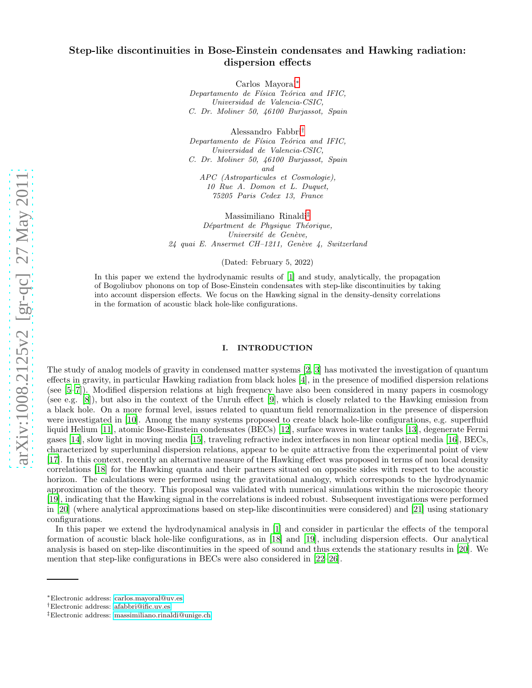### Step-like discontinuities in Bose-Einstein condensates and Hawking radiation: dispersion effects

Carlos Mayoral[∗](#page-0-0) Departamento de Física Teórica and IFIC, Universidad de Valencia-CSIC, C. Dr. Moliner 50, 46100 Burjassot, Spain

Alessandro Fabbri[†](#page-0-1) Departamento de Física Teórica and IFIC, Universidad de Valencia-CSIC, C. Dr. Moliner 50, 46100 Burjassot, Spain and APC (Astroparticules et Cosmologie),

10 Rue A. Domon et L. Duquet, 75205 Paris Cedex 13, France

Massimiliano Rinaldi[‡](#page-0-2)

Départment de Physique Théorique, Université de Genève,  $24$  quai E. Ansermet CH-1211, Genève 4, Switzerland

(Dated: February 5, 2022)

In this paper we extend the hydrodynamic results of [\[1](#page-31-0)] and study, analytically, the propagation of Bogoliubov phonons on top of Bose-Einstein condensates with step-like discontinuities by taking into account dispersion effects. We focus on the Hawking signal in the density-density correlations in the formation of acoustic black hole-like configurations.

#### I. INTRODUCTION

The study of analog models of gravity in condensed matter systems [\[2,](#page-31-1) [3\]](#page-31-2) has motivated the investigation of quantum effects in gravity, in particular Hawking radiation from black holes [\[4](#page-31-3)], in the presence of modified dispersion relations (see [\[5](#page-31-4)[–7](#page-31-5)]). Modified dispersion relations at high frequency have also been considered in many papers in cosmology (see e.g. [\[8\]](#page-31-6)), but also in the context of the Unruh effect [\[9](#page-31-7)], which is closely related to the Hawking emission from a black hole. On a more formal level, issues related to quantum field renormalization in the presence of dispersion were investigated in [\[10\]](#page-31-8). Among the many systems proposed to create black hole-like configurations, e.g. superfluid liquid Helium [\[11](#page-31-9)], atomic Bose-Einstein condensates (BECs) [\[12](#page-31-10)], surface waves in water tanks [\[13](#page-31-11)], degenerate Fermi gases [\[14\]](#page-31-12), slow light in moving media [\[15\]](#page-31-13), traveling refractive index interfaces in non linear optical media [\[16\]](#page-31-14), BECs, characterized by superluminal dispersion relations, appear to be quite attractive from the experimental point of view [\[17\]](#page-31-15). In this context, recently an alternative measure of the Hawking effect was proposed in terms of non local density correlations [\[18](#page-31-16)] for the Hawking quanta and their partners situated on opposite sides with respect to the acoustic horizon. The calculations were performed using the gravitational analogy, which corresponds to the hydrodynamic approximation of the theory. This proposal was validated with numerical simulations within the microscopic theory [\[19\]](#page-31-17), indicating that the Hawking signal in the correlations is indeed robust. Subsequent investigations were performed in [\[20](#page-31-18)] (where analytical approximations based on step-like discontinuities were considered) and [\[21\]](#page-31-19) using stationary configurations.

In this paper we extend the hydrodynamical analysis in [\[1\]](#page-31-0) and consider in particular the effects of the temporal formation of acoustic black hole-like configurations, as in [\[18\]](#page-31-16) and [\[19](#page-31-17)], including dispersion effects. Our analytical analysis is based on step-like discontinuities in the speed of sound and thus extends the stationary results in [\[20](#page-31-18)]. We mention that step-like configurations in BECs were also considered in [\[22](#page-31-20)[–26\]](#page-31-21).

<span id="page-0-0"></span><sup>∗</sup>Electronic address: [carlos.mayoral@uv.es](mailto:carlos.mayoral@uv.es)

<span id="page-0-1"></span><sup>†</sup>Electronic address: [afabbri@ific.uv.es](mailto:afabbri@ific.uv.es)

<span id="page-0-2"></span><sup>‡</sup>Electronic address: [massimiliano.rinaldi@unige.ch](mailto:massimiliano.rinaldi@unige.ch)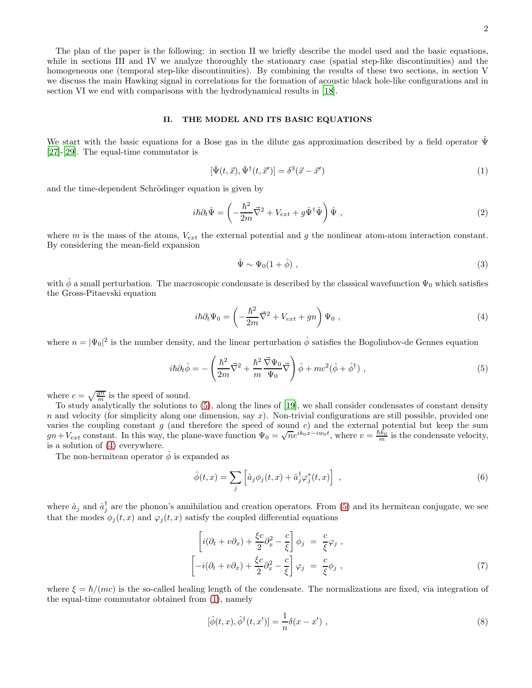The plan of the paper is the following: in section II we briefly describe the model used and the basic equations, while in sections III and IV we analyze thoroughly the stationary case (spatial step-like discontinuities) and the homogeneous one (temporal step-like discontinuities). By combining the results of these two sections, in section V we discuss the main Hawking signal in correlations for the formation of acoustic black hole-like configurations and in section VI we end with comparisons with the hydrodynamical results in [\[18\]](#page-31-16).

#### II. THE MODEL AND ITS BASIC EQUATIONS

We start with the basic equations for a Bose gas in the dilute gas approximation described by a field operator  $\Psi$ [\[27\]](#page-31-22)-[\[29\]](#page-31-23). The equal-time commutator is

<span id="page-1-2"></span>
$$
[\hat{\Psi}(t,\vec{x}),\hat{\Psi}^{\dagger}(t,\vec{x}')] = \delta^3(\vec{x} - \vec{x}') \tag{1}
$$

and the time-dependent Schrödinger equation is given by

$$
i\hbar\partial_t \hat{\Psi} = \left(-\frac{\hbar^2}{2m}\vec{\nabla}^2 + V_{ext} + g\hat{\Psi}^\dagger\hat{\Psi}\right)\hat{\Psi} , \qquad (2)
$$

where  $m$  is the mass of the atoms,  $V_{ext}$  the external potential and  $g$  the nonlinear atom-atom interaction constant. By considering the mean-field expansion

<span id="page-1-4"></span>
$$
\hat{\Psi} \sim \Psi_0 (1 + \hat{\phi}) \tag{3}
$$

with  $\hat{\phi}$  a small perturbation. The macroscopic condensate is described by the classical wavefunction  $\Psi_0$  which satisfies the Gross-Pitaevski equation

<span id="page-1-1"></span>
$$
i\hbar \partial_t \Psi_0 = \left(-\frac{\hbar^2}{2m}\vec{\nabla}^2 + V_{ext} + gn\right)\Psi_0 , \qquad (4)
$$

where  $n = |\Psi_0|^2$  is the number density, and the linear perturbation  $\hat{\phi}$  satisfies the Bogoliubov-de Gennes equation

<span id="page-1-0"></span>
$$
i\hbar\partial_t\hat{\phi} = -\left(\frac{\hbar^2}{2m}\vec{\nabla}^2 + \frac{\hbar^2}{m}\frac{\vec{\nabla}\Psi_0}{\Psi_0}\vec{\nabla}\right)\hat{\phi} + mc^2(\hat{\phi} + \hat{\phi}^\dagger) ,\qquad(5)
$$

where  $c = \sqrt{\frac{gn}{m}}$  is the speed of sound.

To study analytically the solutions to [\(5\)](#page-1-0), along the lines of [\[19](#page-31-17)], we shall consider condensates of constant density  $n$  and velocity (for simplicity along one dimension, say  $x$ ). Non-trivial configurations are still possible, provided one varies the coupling constant  $g$  (and therefore the speed of sound  $c$ ) and the external potential but keep the sum  $gn+V_{ext}$  constant. In this way, the plane-wave function  $\Psi_0 = \sqrt{n}e^{ik_0x-iw_0t}$ , where  $v = \frac{\hbar k_0}{m}$  is the condensate velocity, is a solution of [\(4\)](#page-1-1) everywhere.

The non-hermitean operator  $\hat{\phi}$  is expanded as

$$
\hat{\phi}(t,x) = \sum_{j} \left[ \hat{a}_{j} \phi_{j}(t,x) + \hat{a}_{j}^{\dagger} \varphi_{j}^{*}(t,x) \right], \qquad (6)
$$

where  $\hat{a}_j$  and  $\hat{a}_j^{\dagger}$  are the phonon's annihilation and creation operators. From [\(5\)](#page-1-0) and its hermitean conjugate, we see that the modes  $\phi_i(t, x)$  and  $\varphi_i(t, x)$  satisfy the coupled differential equations

<span id="page-1-3"></span>
$$
\begin{aligned}\n\left[i(\partial_t + v\partial_x) + \frac{\xi c}{2}\partial_x^2 - \frac{c}{\xi}\right]\phi_j &= \frac{c}{\xi}\varphi_j, \\
\left[-i(\partial_t + v\partial_x) + \frac{\xi c}{2}\partial_x^2 - \frac{c}{\xi}\right]\varphi_j &= \frac{c}{\xi}\phi_j,\n\end{aligned} \tag{7}
$$

where  $\xi = \hbar/(mc)$  is the so-called healing length of the condensate. The normalizations are fixed, via integration of the equal-time commutator obtained from [\(1\)](#page-1-2), namely

$$
[\hat{\phi}(t,x), \hat{\phi}^{\dagger}(t,x')] = \frac{1}{n} \delta(x-x') , \qquad (8)
$$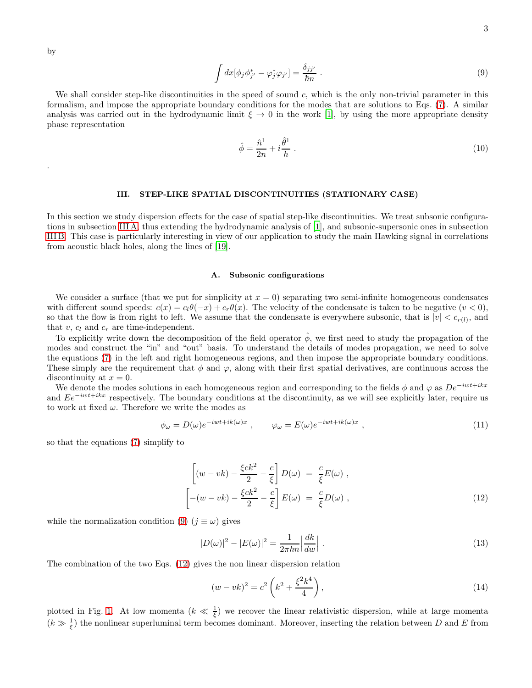by

.

<span id="page-2-1"></span>
$$
\int dx [\phi_j \phi_{j'}^* - \varphi_j^* \varphi_{j'}] = \frac{\delta_{jj'}}{\hbar n} \ . \tag{9}
$$

We shall consider step-like discontinuities in the speed of sound  $c$ , which is the only non-trivial parameter in this formalism, and impose the appropriate boundary conditions for the modes that are solutions to Eqs. [\(7\)](#page-1-3). A similar analysis was carried out in the hydrodynamic limit  $\xi \to 0$  in the work [\[1](#page-31-0)], by using the more appropriate density phase representation

<span id="page-2-5"></span>
$$
\hat{\phi} = \frac{\hat{n}^1}{2n} + i\frac{\hat{\theta}^1}{\hbar} \tag{10}
$$

#### III. STEP-LIKE SPATIAL DISCONTINUITIES (STATIONARY CASE)

In this section we study dispersion effects for the case of spatial step-like discontinuities. We treat subsonic configurations in subsection [III A,](#page-2-0) thus extending the hydrodynamic analysis of [\[1](#page-31-0)], and subsonic-supersonic ones in subsection [III B.](#page-8-0) This case is particularly interesting in view of our application to study the main Hawking signal in correlations from acoustic black holes, along the lines of [\[19](#page-31-17)].

#### <span id="page-2-0"></span>A. Subsonic configurations

We consider a surface (that we put for simplicity at  $x = 0$ ) separating two semi-infinite homogeneous condensates with different sound speeds:  $c(x) = c_1\theta(-x) + c_r\theta(x)$ . The velocity of the condensate is taken to be negative  $(v < 0)$ , so that the flow is from right to left. We assume that the condensate is everywhere subsonic, that is  $|v| < c_{r(l)}$ , and that  $v, c_l$  and  $c_r$  are time-independent.

To explicitly write down the decomposition of the field operator  $\hat{\phi}$ , we first need to study the propagation of the modes and construct the "in" and "out" basis. To understand the details of modes propagation, we need to solve the equations [\(7\)](#page-1-3) in the left and right homogeneous regions, and then impose the appropriate boundary conditions. These simply are the requirement that  $\phi$  and  $\varphi$ , along with their first spatial derivatives, are continuous across the discontinuity at  $x = 0$ .

We denote the modes solutions in each homogeneous region and corresponding to the fields  $\phi$  and  $\varphi$  as  $De^{-iwt+ikx}$ and  $Ee^{-iwt+ikx}$  respectively. The boundary conditions at the discontinuity, as we will see explicitly later, require us to work at fixed  $\omega$ . Therefore we write the modes as

$$
\phi_{\omega} = D(\omega)e^{-iwt + ik(\omega)x} , \qquad \varphi_{\omega} = E(\omega)e^{-iwt + ik(\omega)x} , \qquad (11)
$$

so that the equations [\(7\)](#page-1-3) simplify to

<span id="page-2-2"></span>
$$
\left[ (w - vk) - \frac{\xi ck^2}{2} - \frac{c}{\xi} \right] D(\omega) = \frac{c}{\xi} E(\omega) ,
$$
\n
$$
\left[ -(w - vk) - \frac{\xi ck^2}{2} - \frac{c}{\xi} \right] E(\omega) = \frac{c}{\xi} D(\omega) ,
$$
\n(12)

while the normalization condition [\(9\)](#page-2-1)  $(j \equiv \omega)$  gives

<span id="page-2-3"></span>
$$
|D(\omega)|^2 - |E(\omega)|^2 = \frac{1}{2\pi\hbar n} \left| \frac{dk}{dw} \right| \,. \tag{13}
$$

The combination of the two Eqs. [\(12\)](#page-2-2) gives the non linear dispersion relation

<span id="page-2-4"></span>
$$
(w - vk)^2 = c^2 \left( k^2 + \frac{\xi^2 k^4}{4} \right),
$$
\n(14)

plotted in Fig. [1.](#page-3-0) At low momenta  $(k \ll \frac{1}{\xi})$  we recover the linear relativistic dispersion, while at large momenta  $(k \gg \frac{1}{\xi})$  the nonlinear superluminal term becomes dominant. Moreover, inserting the relation between D and E from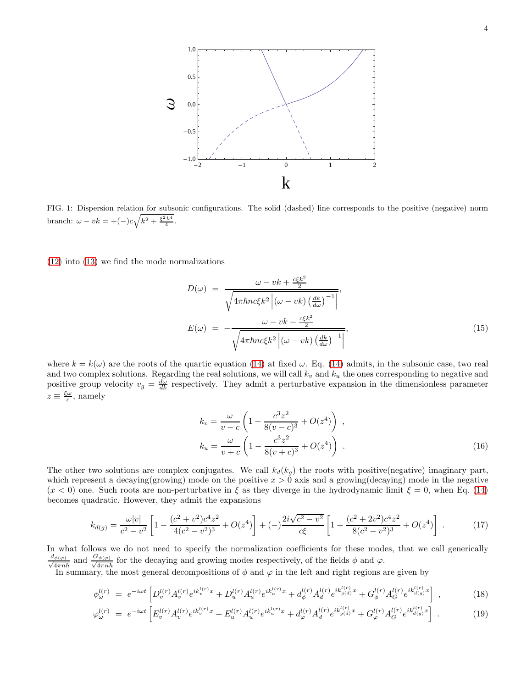

<span id="page-3-0"></span>FIG. 1: Dispersion relation for subsonic configurations. The solid (dashed) line corresponds to the positive (negative) norm branch:  $\omega - vk = +(-)c\sqrt{k^2 + \frac{\xi^2 k^4}{4}}$ .

[\(12\)](#page-2-2) into [\(13\)](#page-2-3) we find the mode normalizations

<span id="page-3-3"></span>
$$
D(\omega) = \frac{\omega - vk + \frac{c\xi k^2}{2}}{\sqrt{4\pi\hbar n c\xi k^2 \left| (\omega - vk) \left(\frac{dk}{d\omega}\right)^{-1} \right|}},
$$
  

$$
E(\omega) = -\frac{\omega - vk - \frac{c\xi k^2}{2}}{\sqrt{4\pi\hbar n c\xi k^2 \left| (\omega - vk) \left(\frac{dk}{d\omega}\right)^{-1} \right|}},
$$
(15)

where  $k = k(\omega)$  are the roots of the quartic equation [\(14\)](#page-2-4) at fixed  $\omega$ . Eq. (14) admits, in the subsonic case, two real and two complex solutions. Regarding the real solutions, we will call  $k_v$  and  $k_u$  the ones corresponding to negative and positive group velocity  $v_g = \frac{d\omega}{dk}$  respectively. They admit a perturbative expansion in the dimensionless parameter  $z \equiv \frac{\xi \omega}{c}$ , namely

$$
k_v = \frac{\omega}{v - c} \left( 1 + \frac{c^3 z^2}{8(v - c)^3} + O(z^4) \right) ,
$$
  
\n
$$
k_u = \frac{\omega}{v + c} \left( 1 - \frac{c^3 z^2}{8(v + c)^3} + O(z^4) \right) .
$$
\n(16)

The other two solutions are complex conjugates. We call  $k_d(k_g)$  the roots with positive(negative) imaginary part, which represent a decaying(growing) mode on the positive  $x > 0$  axis and a growing(decaying) mode in the negative  $(x < 0)$  one. Such roots are non-perturbative in  $\xi$  as they diverge in the hydrodynamic limit  $\xi = 0$ , when Eq. [\(14\)](#page-2-4) becomes quadratic. However, they admit the expansions

<span id="page-3-2"></span>
$$
k_{d(g)} = \frac{\omega |v|}{c^2 - v^2} \left[ 1 - \frac{(c^2 + v^2)c^4 z^2}{4(c^2 - v^2)^3} + O(z^4) \right] + (-) \frac{2i\sqrt{c^2 - v^2}}{c\xi} \left[ 1 + \frac{(c^2 + 2v^2)c^4 z^2}{8(c^2 - v^2)^3} + O(z^4) \right] \ . \tag{17}
$$

In what follows we do not need to specify the normalization coefficients for these modes, that we call generically  $\frac{d_{\phi(\varphi)}}{4\pi n}$  $\frac{G_{\phi(\varphi)}}{4\pi n\hbar}$  and  $\frac{G_{\phi(\varphi)}}{\sqrt{4\pi n\hbar}}$  $\frac{d\phi(\varphi)}{4\pi n\hbar}$  for the decaying and growing modes respectively, of the fields  $\phi$  and  $\varphi$ .

In summary, the most general decompositions of  $\phi$  and  $\varphi$  in the left and right regions are given by

<span id="page-3-1"></span>
$$
\phi_{\omega}^{l(r)} = e^{-i\omega t} \left[ D_v^{l(r)} A_v^{l(r)} e^{ik_v^{l(r)}x} + D_u^{l(r)} A_u^{l(r)} e^{ik_u^{l(r)}x} + d_\phi^{l(r)} A_d^{l(r)} e^{ik_g^{l(r)}x} + G_\phi^{l(r)} A_G^{l(r)} e^{ik_d^{l(r)}x} \right] \,,\tag{18}
$$

$$
\varphi_{\omega}^{l(r)} = e^{-i\omega t} \left[ E_v^{l(r)} A_v^{l(r)} e^{ik_v^{l(r)}x} + E_u^{l(r)} A_u^{l(r)} e^{ik_u^{l(r)}x} + d_{\varphi}^{l(r)} A_d^{l(r)} e^{ik_{g(d)}^{l(r)}x} + G_{\varphi}^{l(r)} A_G^{l(r)} e^{ik_{d(g)}^{l(r)}x} \right].
$$
\n(19)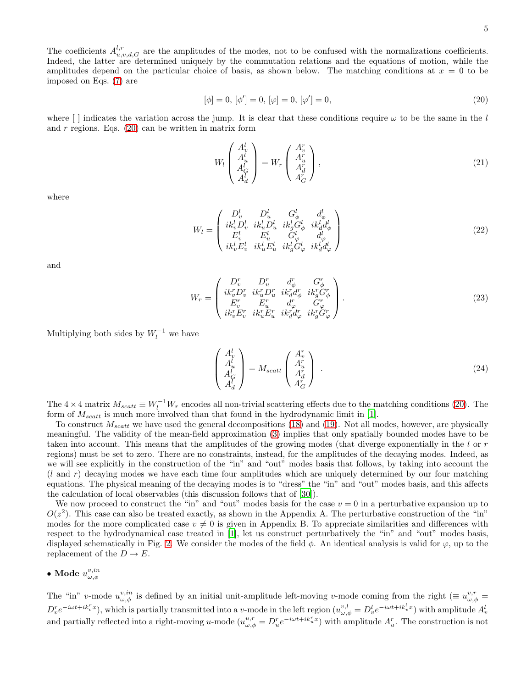5

The coefficients  $A^{l,r}_{u,v,d,G}$  are the amplitudes of the modes, not to be confused with the normalizations coefficients. Indeed, the latter are determined uniquely by the commutation relations and the equations of motion, while the amplitudes depend on the particular choice of basis, as shown below. The matching conditions at  $x = 0$  to be imposed on Eqs. [\(7\)](#page-1-3) are

<span id="page-4-0"></span>
$$
[\phi] = 0, [\phi'] = 0, [\varphi] = 0, [\varphi'] = 0,
$$
\n(20)

where  $\lceil \cdot \rceil$  indicates the variation across the jump. It is clear that these conditions require  $\omega$  to be the same in the l and  $r$  regions. Eqs. [\(20\)](#page-4-0) can be written in matrix form

$$
W_l \begin{pmatrix} A_v^l \\ A_u^l \\ A_G^l \\ A_d^l \end{pmatrix} = W_r \begin{pmatrix} A_v^r \\ A_u^r \\ A_d^r \\ A_G^r \end{pmatrix},
$$
\n(21)

where

<span id="page-4-2"></span>
$$
W_{l} = \begin{pmatrix} D_{v}^{l} & D_{u}^{l} & G_{\phi}^{l} & d_{\phi}^{l} \\ ik_{v}^{l} D_{v}^{l} & ik_{u}^{l} D_{u}^{l} & ik_{g}^{l} G_{\phi}^{l} & ik_{d}^{l} d_{\phi}^{l} \\ E_{v}^{l} & E_{u}^{l} & G_{\phi}^{l} & d_{\phi}^{l} \\ ik_{v}^{l} E_{v}^{l} & ik_{u}^{l} E_{u}^{l} & ik_{g}^{l} G_{\phi}^{l} & ik_{d}^{l} d_{\phi}^{l} \end{pmatrix}
$$
\n(22)

and

<span id="page-4-1"></span>
$$
W_{r} = \begin{pmatrix} D_{v}^{r} & D_{u}^{r} & d_{\phi}^{r} & G_{\phi}^{r} \\ ik_{v}^{r} D_{v}^{r} & ik_{u}^{r} D_{u}^{r} & ik_{d}^{r} d_{\phi}^{r} & ik_{g}^{r} G_{\phi}^{r} \\ E_{v}^{r} & E_{u}^{r} & d_{\phi}^{r} & G_{\phi}^{r} \\ ik_{v}^{r} E_{v}^{r} & ik_{u}^{r} E_{u}^{r} & ik_{d}^{r} d_{\phi}^{r} & ik_{g}^{r} G_{\phi}^{r} \end{pmatrix}.
$$
\n(23)

Multiplying both sides by  $W_l^{-1}$  we have

$$
\begin{pmatrix}\nA_v^l \\
A_u^l \\
A_G^l \\
A_d^l\n\end{pmatrix} = M_{scatt} \begin{pmatrix}\nA_v^r \\
A_u^r \\
A_d^r \\
A_G^r\n\end{pmatrix} .
$$
\n(24)

The  $4 \times 4$  matrix  $M_{scatt} \equiv W_l^{-1}W_r$  encodes all non-trivial scattering effects due to the matching conditions [\(20\)](#page-4-0). The form of  $M_{scatt}$  is much more involved than that found in the hydrodynamic limit in [\[1\]](#page-31-0).

To construct  $M_{scatt}$  we have used the general decompositions [\(18\)](#page-3-1) and [\(19\)](#page-3-1). Not all modes, however, are physically meaningful. The validity of the mean-field approximation [\(3\)](#page-1-4) implies that only spatially bounded modes have to be taken into account. This means that the amplitudes of the growing modes (that diverge exponentially in the l or r regions) must be set to zero. There are no constraints, instead, for the amplitudes of the decaying modes. Indeed, as we will see explicitly in the construction of the "in" and "out" modes basis that follows, by taking into account the  $(l \text{ and } r)$  decaying modes we have each time four amplitudes which are uniquely determined by our four matching equations. The physical meaning of the decaying modes is to "dress" the "in" and "out" modes basis, and this affects the calculation of local observables (this discussion follows that of [\[30](#page-31-24)]).

We now proceed to construct the "in" and "out" modes basis for the case  $v = 0$  in a perturbative expansion up to  $O(z^2)$ . This case can also be treated exactly, as shown in the Appendix A. The perturbative construction of the "in" modes for the more complicated case  $v \neq 0$  is given in Appendix B. To appreciate similarities and differences with respect to the hydrodynamical case treated in [\[1\]](#page-31-0), let us construct perturbatively the "in" and "out" modes basis, displayed schematically in Fig. [2.](#page-5-0) We consider the modes of the field  $\phi$ . An identical analysis is valid for  $\varphi$ , up to the replacement of the  $D \to E$ .

# $\bullet$  Mode  $u^{v,in}_{\omega,\phi}$

The "in" v-mode  $u_{\omega,\phi}^{v,in}$  is defined by an initial unit-amplitude left-moving v-mode coming from the right ( $\equiv u_{\omega,\phi}^{v,r}$ )  $D_v^r e^{-i\omega t + i k_v^r x}$ , which is partially transmitted into a v-mode in the left region  $(u_{\omega,\phi}^{v,l} = D_v^l e^{-i\omega t + i k_v^l x})$  with amplitude  $A_v^l$ and partially reflected into a right-moving u-mode  $(u_{\omega,\phi}^{u,r} = D_u^r e^{-i\omega t + ik_u^r x})$  with amplitude  $A_u^r$ . The construction is not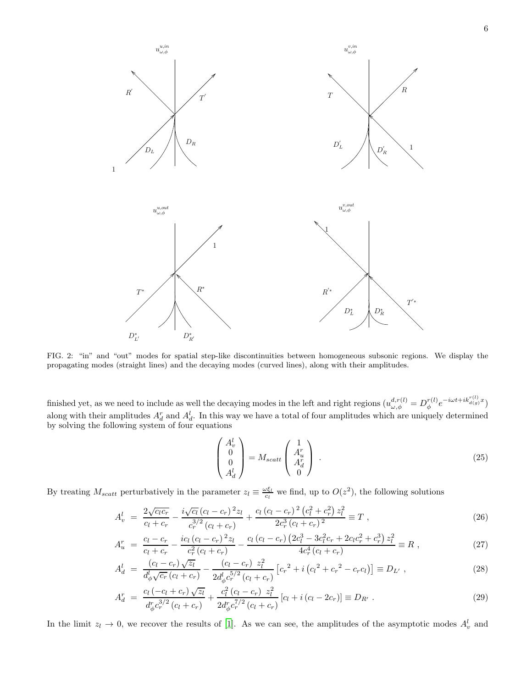

<span id="page-5-0"></span>FIG. 2: "in" and "out" modes for spatial step-like discontinuities between homogeneous subsonic regions. We display the propagating modes (straight lines) and the decaying modes (curved lines), along with their amplitudes.

finished yet, as we need to include as well the decaying modes in the left and right regions  $(u_{\omega,\phi}^{d,r(l)} = D_{\phi}^{r(l)})$  $\int\limits_{\phi}^{r(l)}e^{-i\omega t+ik_{d(g)}^{r(l)}x})$ along with their amplitudes  $A_d^r$  and  $A_d^l$ . In this way we have a total of four amplitudes which are uniquely determined by solving the following system of four equations

<span id="page-5-1"></span>
$$
\begin{pmatrix} A_v^l \\ 0 \\ 0 \\ A_d^l \end{pmatrix} = M_{scatt} \begin{pmatrix} 1 \\ A_u^r \\ A_d^r \\ 0 \end{pmatrix} . \tag{25}
$$

By treating  $M_{scatt}$  perturbatively in the parameter  $z_l \equiv \frac{\omega \xi_l}{c_l}$  we find, up to  $O(z^2)$ , the following solutions

$$
A_v^l = \frac{2\sqrt{c_l c_r}}{c_l + c_r} - \frac{i\sqrt{c_l} (c_l - c_r)^2 z_l}{c_r^{3/2} (c_l + c_r)} + \frac{c_l (c_l - c_r)^2 (c_l^2 + c_r^2) z_l^2}{2c_r^3 (c_l + c_r)^2} \equiv T \tag{26}
$$

$$
A_u^r = \frac{c_l - c_r}{c_l + c_r} - \frac{ic_l(c_l - c_r)^2 z_l}{c_r^2(c_l + c_r)} - \frac{c_l(c_l - c_r)(2c_l^3 - 3c_l^2 c_r + 2c_l c_r^2 + c_r^3) z_l^2}{4c_r^4(c_l + c_r)} \equiv R \,,\tag{27}
$$

$$
A_d^l = \frac{(c_l - c_r)\sqrt{z_l}}{d_\phi^l \sqrt{c_r}(c_l + c_r)} - \frac{(c_l - c_r) z_l^2}{2d_\phi^l c_r^{5/2}(c_l + c_r)} \left[c_r^2 + i(c_l^2 + c_r^2 - c_r c_l)\right] \equiv D_{L'}, \qquad (28)
$$

$$
A_d^r = \frac{c_l(-c_l + c_r)\sqrt{z_l}}{d_\phi^r c_r^{3/2} (c_l + c_r)} + \frac{c_l^2(c_l - c_r)}{2d_\phi^r c_r^{7/2} (c_l + c_r)} [c_l + i(c_l - 2c_r)] \equiv D_{R'}.
$$
\n(29)

In the limit  $z_l \to 0$ , we recover the results of [\[1](#page-31-0)]. As we can see, the amplitudes of the asymptotic modes  $A_v^l$  and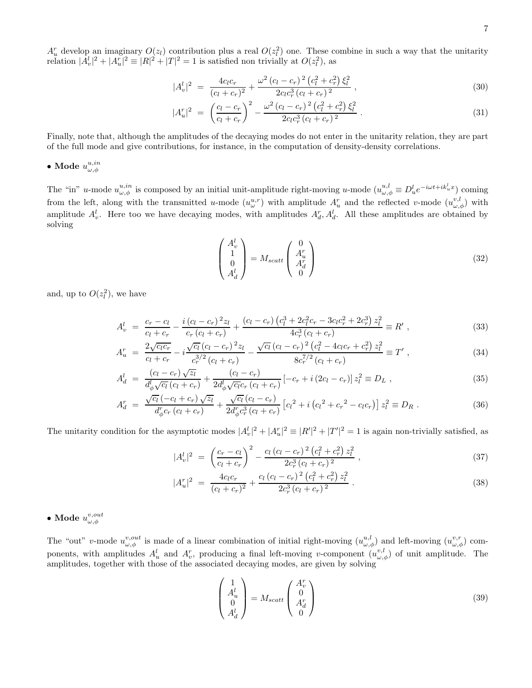$A_u^r$  develop an imaginary  $O(z_l)$  contribution plus a real  $O(z_l^2)$  one. These combine in such a way that the unitarity relation  $|A_v^l|^2 + |A_u^r|^2 \equiv |R|^2 + |T|^2 = 1$  is satisfied non trivially at  $O(z_l^2)$ , as

$$
|A_v^l|^2 = \frac{4c_l c_r}{(c_l + c_r)^2} + \frac{\omega^2 (c_l - c_r)^2 (c_l^2 + c_r^2) \xi_l^2}{2c_l c_r^3 (c_l + c_r)^2},
$$
\n(30)

$$
|A_u^r|^2 = \left(\frac{c_l - c_r}{c_l + c_r}\right)^2 - \frac{\omega^2 (c_l - c_r)^2 (c_l^2 + c_r^2) \xi_l^2}{2c_l c_r^3 (c_l + c_r)^2}.
$$
\n(31)

Finally, note that, although the amplitudes of the decaying modes do not enter in the unitarity relation, they are part of the full mode and give contributions, for instance, in the computation of density-density correlations.

# $\bullet$ Mode $u^{u,in}_{\omega,\phi}$

The "in" u-mode  $u_{\omega,\phi}^{u,in}$  is composed by an initial unit-amplitude right-moving u-mode  $(u_{\omega,\phi}^{u,l} \equiv D_u^l e^{-i\omega t + ik_u^l x})$  coming from the left, along with the transmitted u-mode  $(u^{u,r}_{\omega})$  with amplitude  $A^r_u$  and the reflected v-mode  $(u^{v,l}_{\omega,\phi})$  with amplitude  $A_v^l$ . Here too we have decaying modes, with amplitudes  $A_d^r$ ,  $A_d^l$ . All these amplitudes are obtained by solving

<span id="page-6-0"></span>
$$
\begin{pmatrix} A_v^l \\ 1 \\ 0 \\ A_d^l \end{pmatrix} = M_{scatt} \begin{pmatrix} 0 \\ A_u^r \\ A_d^r \\ 0 \end{pmatrix}
$$
 (32)

and, up to  $O(z_l^2)$ , we have

A

$$
A_v^l = \frac{c_r - c_l}{c_l + c_r} - \frac{i(c_l - c_r)^2 z_l}{c_r (c_l + c_r)} + \frac{(c_l - c_r)(c_l^3 + 2c_l^2 c_r - 3c_l c_r^2 + 2c_r^3) z_l^2}{4c_r^3 (c_l + c_r)} \equiv R',
$$
\n(33)

$$
A_u^r = \frac{2\sqrt{c_l c_r}}{c_l + c_r} - i \frac{\sqrt{c_l} (c_l - c_r)^2 z_l}{c_r^{3/2} (c_l + c_r)} - \frac{\sqrt{c_l} (c_l - c_r)^2 (c_l^2 - 4c_l c_r + c_r^2) z_l^2}{8c_r^{7/2} (c_l + c_r)} \equiv T', \qquad (34)
$$

$$
A_d^l = \frac{(c_l - c_r)\sqrt{z_l}}{d_{\phi}^l \sqrt{c_l} (c_l + c_r)} + \frac{(c_l - c_r)}{2d_{\phi}^l \sqrt{c_l} c_r (c_l + c_r)} \left[ -c_r + i(2c_l - c_r) \right] z_l^2 \equiv D_L , \qquad (35)
$$

$$
A_d^r = \frac{\sqrt{c_l} \left( -c_l + c_r \right) \sqrt{z_l}}{d_{\phi}^r c_r \left( c_l + c_r \right)} + \frac{\sqrt{c_l} \left( c_l - c_r \right)}{2d_{\phi}^r c_r^3 \left( c_l + c_r \right)} \left[ c_l^2 + i \left( c_l^2 + c_r^2 - c_l c_r \right) \right] z_l^2 \equiv D_R \,. \tag{36}
$$

The unitarity condition for the asymptotic modes  $|A_v^l|^2 + |A_u^r|^2 \equiv |R'|^2 + |T'|^2 = 1$  is again non-trivially satisfied, as

$$
|A_v^l|^2 = \left(\frac{c_r - c_l}{c_l + c_r}\right)^2 - \frac{c_l (c_l - c_r)^2 (c_l^2 + c_r^2) z_l^2}{2c_r^3 (c_l + c_r)^2} ,\qquad (37)
$$

$$
|A_u^r|^2 = \frac{4c_l c_r}{(c_l + c_r)^2} + \frac{c_l (c_l - c_r)^2 (c_l^2 + c_r^2) z_l^2}{2c_r^3 (c_l + c_r)^2}.
$$
\n(38)

 $\bullet$  Mode  $u^{v,out}_{\omega,\phi}$ 

The "out" v-mode  $u_{\omega,\phi}^{v,out}$  is made of a linear combination of initial right-moving  $(u_{\omega,\phi}^{u,l})$  and left-moving  $(u_{\omega,\phi}^{v,r})$  components, with amplitudes  $A_u^l$  and  $A_v^r$ , producing a final left-moving v-component  $(u_{\omega,\phi}^{v,l})$  of unit amplitude. The amplitudes, together with those of the associated decaying modes, are given by solving

$$
\begin{pmatrix} 1 \\ A_u^l \\ 0 \\ A_d^l \end{pmatrix} = M_{scatt} \begin{pmatrix} A_v^r \\ 0 \\ A_d^r \\ 0 \end{pmatrix}
$$
 (39)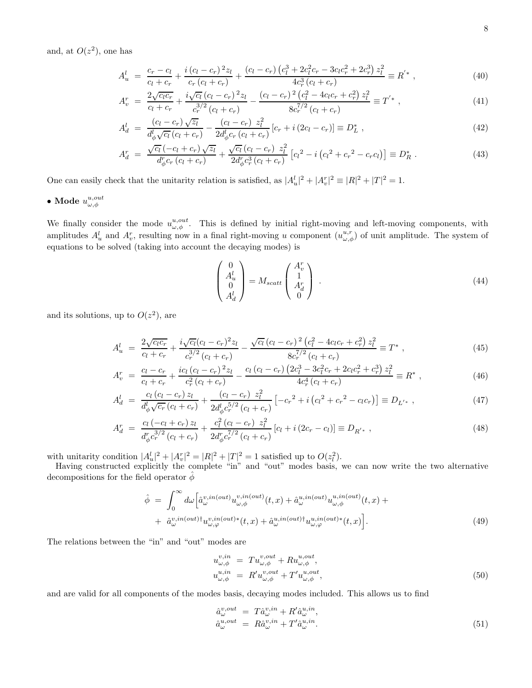and, at  $O(z^2)$ , one has

$$
A_u^l = \frac{c_r - c_l}{c_l + c_r} + \frac{i(c_l - c_r)^2 z_l}{c_r (c_l + c_r)} + \frac{(c_l - c_r)(c_l^3 + 2c_l^2 c_r - 3c_l c_r^2 + 2c_r^3) z_l^2}{4c_r^3 (c_l + c_r)} \equiv R' \,,\tag{40}
$$

$$
A_v^r = \frac{2\sqrt{c_l c_r}}{c_l + c_r} + \frac{i\sqrt{c_l} (c_l - c_r)^2 z_l}{c_r^{3/2} (c_l + c_r)} - \frac{(c_l - c_r)^2 (c_l^2 - 4c_l c_r + c_r^2) z_l^2}{8c_r^{7/2} (c_l + c_r)} \equiv T^{'*}, \qquad (41)
$$

$$
A_d^l = \frac{(c_l - c_r)\sqrt{z_l}}{d_\phi^l \sqrt{c_l} (c_l + c_r)} - \frac{(c_l - c_r) z_l^2}{2d_\phi^l c_r (c_l + c_r)} [c_r + i(2c_l - c_r)] \equiv D_L^*,
$$
\n(42)

$$
A_d^r = \frac{\sqrt{c_l} \left( -c_l + c_r \right) \sqrt{z_l}}{d_{\phi}^r c_r \left( c_l + c_r \right)} + \frac{\sqrt{c_l} \left( c_l - c_r \right) z_l^2}{2d_{\phi}^r c_r^3 \left( c_l + c_r \right)} \left[ c_l^2 - i \left( c_l^2 + c_r^2 - c_r c_l \right) \right] \equiv D_R^* \,. \tag{43}
$$

One can easily check that the unitarity relation is satisfied, as  $|A_u^l|^2 + |A_v^r|^2 \equiv |R|^2 + |T|^2 = 1$ .

 $\bullet$  Mode  $u^{u,out}_{\omega,\phi}$ 

We finally consider the mode  $u_{\omega,\phi}^{u,out}$ . This is defined by initial right-moving and left-moving components, with amplitudes  $A_u^l$  and  $A_v^r$ , resulting now in a final right-moving u component  $(u_{\omega,\phi}^{u,r})$  of unit amplitude. The system of equations to be solved (taking into account the decaying modes) is

$$
\begin{pmatrix} 0\\ A_u^l\\ 0\\ A_d^l \end{pmatrix} = M_{scatt} \begin{pmatrix} A_v^r\\ 1\\ A_d^r\\ 0 \end{pmatrix} . \tag{44}
$$

and its solutions, up to  $O(z^2)$ , are

$$
A_u^l = \frac{2\sqrt{c_l c_r}}{c_l + c_r} + \frac{i\sqrt{c_l}(c_l - c_r)^2 z_l}{c_r^{3/2}(c_l + c_r)} - \frac{\sqrt{c_l}(c_l - c_r)^2 (c_l^2 - 4c_l c_r + c_r^2) z_l^2}{8c_r^{7/2}(c_l + c_r)} \equiv T^*,
$$
\n(45)

$$
A_v^r = \frac{c_l - c_r}{c_l + c_r} + \frac{ic_l (c_l - c_r)^2 z_l}{c_r^2 (c_l + c_r)} - \frac{c_l (c_l - c_r) (2c_l^3 - 3c_l^2 c_r + 2c_l c_r^2 + c_r^3) z_l^2}{4c_r^4 (c_l + c_r)} \equiv R^*,
$$
\n(46)

$$
A_d^l = \frac{c_l (c_l - c_r) z_l}{d_\phi^l \sqrt{c_r} (c_l + c_r)} + \frac{(c_l - c_r) z_l^2}{2d_\phi^l c_r^{5/2} (c_l + c_r)} \left[ -c_r^2 + i (c_l^2 + c_r^2 - c_l c_r) \right] \equiv D_{L'^*}, \tag{47}
$$

$$
A_d^r = \frac{c_l(-c_l + c_r)z_l}{d_{\phi}^r c_r^{3/2} (c_l + c_r)} + \frac{c_l^2 (c_l - c_r) z_l^2}{2d_{\phi}^r c_r^{7/2} (c_l + c_r)} [c_l + i (2c_r - c_l)] \equiv D_{R'*}, \qquad (48)
$$

with unitarity condition  $|A_u^l|^2 + |A_v^r|^2 = |R|^2 + |T|^2 = 1$  satisfied up to  $O(z_l^2)$ .

Having constructed explicitly the complete "in" and "out" modes basis, we can now write the two alternative decompositions for the field operator  $\hat{\phi}$ 

$$
\hat{\phi} = \int_0^{\infty} d\omega \left[ \hat{a}^{v,in(out)}_{\omega} u^{v,in(out)}_{\omega,\phi}(t,x) + \hat{a}^{u,in(out)}_{\omega} u^{u,in(out)}_{\omega,\phi}(t,x) + \hat{a}^{v,in(out)\dagger}_{\omega} u^{v,in(out)\dagger}_{\omega,\varphi}(t,x) + \hat{a}^{v,in(out)\dagger}_{\omega,\varphi} u^{v,in(out)\dagger}_{\omega,\varphi}(49)
$$
\n
$$
(49)
$$

The relations between the "in" and "out" modes are

<span id="page-7-0"></span>
$$
u_{\omega,\phi}^{v,in} = Tu_{\omega,\phi}^{v,out} + Ru_{\omega,\phi}^{u,out},
$$
  
\n
$$
u_{\omega,\phi}^{u,in} = R'u_{\omega,\phi}^{v,out} + T'u_{\omega,\phi}^{u,out},
$$
  
\n(50)

and are valid for all components of the modes basis, decaying modes included. This allows us to find

$$
\begin{array}{rcl}\n\hat{a}_{\omega}^{v,out} & = & T\hat{a}_{\omega}^{v,in} + R'\hat{a}_{\omega}^{u,in}, \\
\hat{a}_{\omega}^{u,out} & = & R\hat{a}_{\omega}^{v,in} + T'\hat{a}_{\omega}^{u,in}.\n\end{array} \tag{51}
$$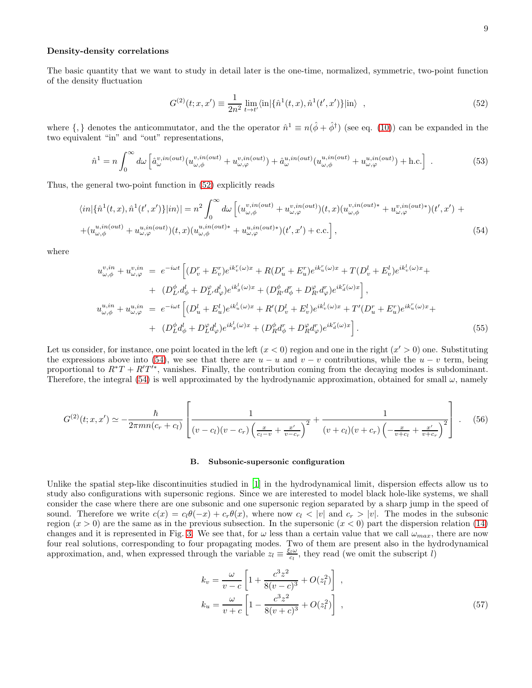#### Density-density correlations

The basic quantity that we want to study in detail later is the one-time, normalized, symmetric, two-point function of the density fluctuation

<span id="page-8-1"></span>
$$
G^{(2)}(t; x, x') \equiv \frac{1}{2n^2} \lim_{t \to t'} \langle \text{in} | \{ \hat{n}^1(t, x), \hat{n}^1(t', x') \} | \text{in} \rangle , \qquad (52)
$$

where  $\{,\}$  denotes the anticommutator, and the the operator  $\hat{n}^1 \equiv n(\hat{\phi} + \hat{\phi}^{\dagger})$  (see eq. [\(10\)](#page-2-5)) can be expanded in the two equivalent "in" and "out" representations,

$$
\hat{n}^1 = n \int_0^\infty d\omega \left[ \hat{a}^{v,in(out)}_{\omega}(u^{v,in(out)}_{\omega,\phi} + u^{v,in(out)}_{\omega,\varphi}) + \hat{a}^{u,in(out)}_{\omega}(u^{u,in(out)}_{\omega,\phi} + u^{u,in(out)}_{\omega,\varphi}) + \text{h.c.} \right] \tag{53}
$$

Thus, the general two-point function in [\(52\)](#page-8-1) explicitly reads

<span id="page-8-2"></span>
$$
\langle in|\{\hat{n}^{1}(t,x),\hat{n}^{1}(t',x')\}|in\rangle| = n^{2} \int_{0}^{\infty} d\omega \left[ (u_{\omega,\phi}^{v,in(out)} + u_{\omega,\varphi}^{v,in(out)})(t,x) (u_{\omega,\phi}^{v,in(out)*} + u_{\omega,\varphi}^{v,in(out)*})(t',x') + (u_{\omega,\phi}^{u,in(out)} + u_{\omega,\varphi}^{u,in(out)})(t,x) (u_{\omega,\phi}^{u,in(out)*} + u_{\omega,\varphi}^{u,in(out)*})(t,x') \right]
$$
\n
$$
(54)
$$

where

$$
u_{\omega,\phi}^{v,in} + u_{\omega,\varphi}^{v,in} = e^{-i\omega t} \left[ (D_v^r + E_v^r)e^{ik_v^r(\omega)x} + R(D_u^r + E_u^r)e^{ik_u^r(\omega)x} + T(D_v^l + E_v^l)e^{ik_v^l(\omega)x} + (D_L^{\phi} d_{\phi}^l + D_L^{\varphi} d_{\varphi}^l)e^{ik_g^l(\omega)x} + (D_R^{\phi} d_{\phi}^r + D_R^{\varphi} d_{\phi}^r)e^{ik_u^r(\omega)x} \right],
$$
  
\n
$$
u_{\omega,\phi}^{u,in} + u_{\omega,\varphi}^{u,in} = e^{-i\omega t} \left[ (D_u^l + E_u^l)e^{ik_u^l(\omega)x} + R'(D_v^l + E_v^l)e^{ik_v^l(\omega)x} + T'(D_u^r + E_u^r)e^{ik_u^r(\omega)x} + (D_L^{\phi} d_{\phi}^l + D_L^{\varphi} d_{\varphi}^l)e^{ik_g^l(\omega)x} + (D_R^{\phi} d_{\phi}^r + D_R^{\varphi} d_{\varphi}^r)e^{ik_d^r(\omega)x} \right].
$$
\n(55)

Let us consider, for instance, one point located in the left  $(x < 0)$  region and one in the right  $(x' > 0)$  one. Substituting the expressions above into [\(54\)](#page-8-2), we see that there are  $u - u$  and  $v - v$  contributions, while the  $u - v$  term, being proportional to  $R^*T + R'T'^*$ , vanishes. Finally, the contribution coming from the decaying modes is subdominant. Therefore, the integral [\(54\)](#page-8-2) is well approximated by the hydrodynamic approximation, obtained for small  $\omega$ , namely

$$
G^{(2)}(t;x,x') \simeq -\frac{\hbar}{2\pi mn(c_r+c_l)} \left[ \frac{1}{(v-c_l)(v-c_r)\left(\frac{x}{c_l-v}+\frac{x'}{v-c_r}\right)^2} + \frac{1}{(v+c_l)(v+c_r)\left(-\frac{x}{v+c_l}+\frac{x'}{v+c_r}\right)^2} \right].
$$
 (56)

#### <span id="page-8-0"></span>B. Subsonic-supersonic configuration

Unlike the spatial step-like discontinuities studied in [\[1\]](#page-31-0) in the hydrodynamical limit, dispersion effects allow us to study also configurations with supersonic regions. Since we are interested to model black hole-like systems, we shall consider the case where there are one subsonic and one supersonic region separated by a sharp jump in the speed of sound. Therefore we write  $c(x) = c_1\theta(-x) + c_r\theta(x)$ , where now  $c_l < |v|$  and  $c_r > |v|$ . The modes in the subsonic region  $(x > 0)$  are the same as in the previous subsection. In the supersonic  $(x < 0)$  part the dispersion relation [\(14\)](#page-2-4) changes and it is represented in Fig. [3.](#page-9-0) We see that, for  $\omega$  less than a certain value that we call  $\omega_{max}$ , there are now four real solutions, corresponding to four propagating modes. Two of them are present also in the hydrodynamical approximation, and, when expressed through the variable  $z_l \equiv \frac{\xi_l \omega}{c_l}$ , they read (we omit the subscript l)

$$
k_v = \frac{\omega}{v - c} \left[ 1 + \frac{c^3 z^2}{8(v - c)^3} + O(z_l^2) \right],
$$
  
\n
$$
k_u = \frac{\omega}{v + c} \left[ 1 - \frac{c^3 z^2}{8(v + c)^3} + O(z_l^2) \right],
$$
\n(57)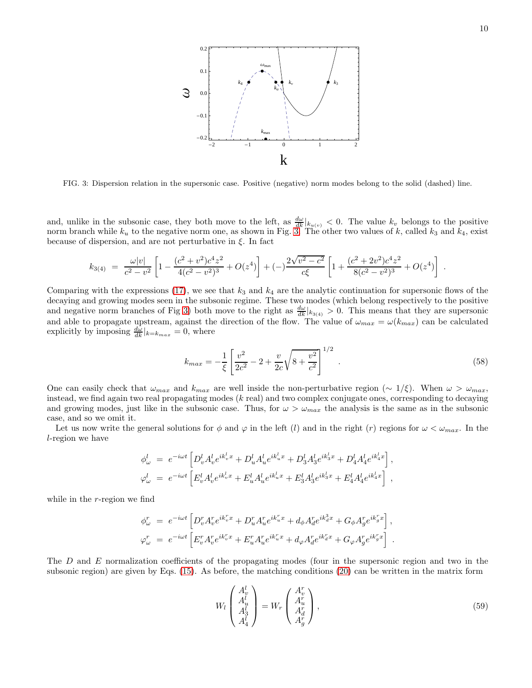

<span id="page-9-0"></span>FIG. 3: Dispersion relation in the supersonic case. Positive (negative) norm modes belong to the solid (dashed) line.

and, unlike in the subsonic case, they both move to the left, as  $\frac{d\omega}{dk}|_{k(u,v)} < 0$ . The value  $k_v$  belongs to the positive norm branch while  $k_u$  to the negative norm one, as shown in Fig. [3.](#page-9-0) The other two values of k, called  $k_3$  and  $k_4$ , exist because of dispersion, and are not perturbative in  $\xi$ . In fact

$$
k_{3(4)} = \frac{\omega |v|}{c^2 - v^2} \left[ 1 - \frac{(c^2 + v^2)c^4 z^2}{4(c^2 - v^2)^3} + O(z^4) \right] + (-) \frac{2\sqrt{v^2 - c^2}}{c\xi} \left[ 1 + \frac{(c^2 + 2v^2)c^4 z^2}{8(c^2 - v^2)^3} + O(z^4) \right] .
$$

Comparing with the expressions [\(17\)](#page-3-2), we see that  $k_3$  and  $k_4$  are the analytic continuation for supersonic flows of the decaying and growing modes seen in the subsonic regime. These two modes (which belong respectively to the positive and negative norm branches of Fig [3\)](#page-9-0) both move to the right as  $\frac{d\omega}{dk}|_{k_{3(4)}} > 0$ . This means that they are supersonic and able to propagate upstream, against the direction of the flow. The value of  $\omega_{max} = \omega(k_{max})$  can be calculated explicitly by imposing  $\frac{d\omega}{dk}|_{k=k_{max}} = 0$ , where

$$
k_{max} = -\frac{1}{\xi} \left[ \frac{v^2}{2c^2} - 2 + \frac{v}{2c} \sqrt{8 + \frac{v^2}{c^2}} \right]^{1/2} . \tag{58}
$$

One can easily check that  $\omega_{max}$  and  $k_{max}$  are well inside the non-perturbative region ( $\sim 1/\xi$ ). When  $\omega > \omega_{max}$ , instead, we find again two real propagating modes  $(k \text{ real})$  and two complex conjugate ones, corresponding to decaying and growing modes, just like in the subsonic case. Thus, for  $\omega > \omega_{max}$  the analysis is the same as in the subsonic case, and so we omit it.

Let us now write the general solutions for  $\phi$  and  $\varphi$  in the left (l) and in the right (r) regions for  $\omega < \omega_{max}$ . In the l-region we have

$$
\phi^l_\omega = e^{-i\omega t} \left[ D^l_v A^l_v e^{ik^l_v x} + D^l_u A^l_u e^{ik^l_u x} + D^l_3 A^l_3 e^{ik^l_3 x} + D^l_4 A^l_4 e^{ik^l_4 x} \right],
$$
  
\n
$$
\varphi^l_\omega = e^{-i\omega t} \left[ E^l_v A^l_v e^{ik^l_v x} + E^l_u A^l_u e^{ik^l_u x} + E^l_3 A^l_3 e^{ik^l_3 x} + E^l_4 A^l_4 e^{ik^l_4 x} \right],
$$

while in the r-region we find

$$
\begin{array}{lll} \phi_\omega^r&=&e^{-i\omega t}\left[D_v^rA_v^re^{ik_v^{r}x}+D_u^rA_u^re^{ik_u^{r}x}+d_\phi A_d^re^{ik_d^{3}x}+G_\phi A_g^re^{ik_g^{r}x}\right],\\[3mm] \varphi_\omega^r&=&e^{-i\omega t}\left[E_v^rA_v^re^{ik_v^{r}x}+E_u^rA_u^re^{ik_u^{r}x}+d_\varphi A_d^re^{ik_u^{r}x}+G_\varphi A_g^re^{ik_g^{r}x}\right]\ . \end{array}
$$

The D and E normalization coefficients of the propagating modes (four in the supersonic region and two in the subsonic region) are given by Eqs. [\(15\)](#page-3-3). As before, the matching conditions [\(20\)](#page-4-0) can be written in the matrix form

$$
W_l \begin{pmatrix} A_v^l \\ A_u^l \\ A_3^l \\ A_4^l \end{pmatrix} = W_r \begin{pmatrix} A_v^r \\ A_u^r \\ A_d^r \\ A_g^r \end{pmatrix},
$$
\n(59)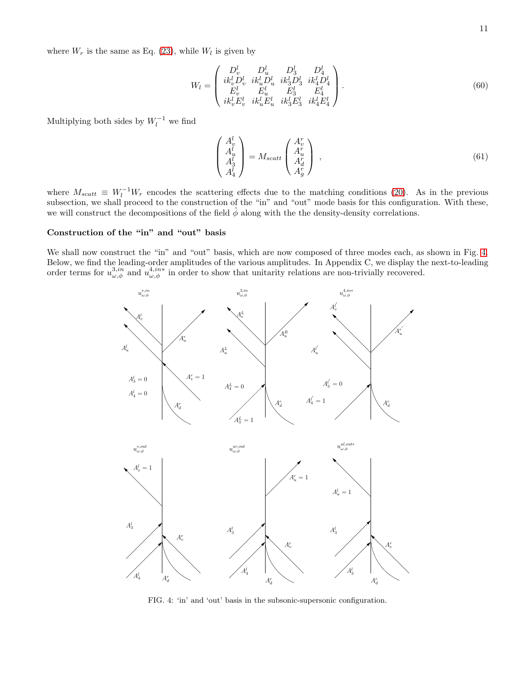where  $W_r$  is the same as Eq. [\(23\)](#page-4-1), while  $W_l$  is given by

$$
W_{l} = \begin{pmatrix} D_{v}^{l} & D_{u}^{l} & D_{3}^{l} & D_{4}^{l} \\ ik_{v}^{l} D_{v}^{l} & ik_{u}^{l} D_{u}^{l} & ik_{3}^{l} D_{3}^{l} & ik_{4}^{l} D_{4}^{l} \\ E_{v}^{l} & E_{u}^{l} & E_{3}^{l} & E_{4}^{l} \\ ik_{v}^{l} E_{v}^{l} & ik_{u}^{l} E_{u}^{l} & ik_{3}^{l} E_{3}^{l} & ik_{4}^{l} E_{4}^{l} \end{pmatrix}.
$$
 (60)

Multiplying both sides by  $W_l^{-1}$  we find

$$
\begin{pmatrix}\nA_v^l \\
A_u^l \\
A_3^l \\
A_4^l\n\end{pmatrix} = M_{scatt} \begin{pmatrix}\nA_v^r \\
A_u^r \\
A_d^r \\
A_g^r\n\end{pmatrix} ,
$$
\n(61)

where  $M_{scatt} \equiv W_l^{-1}W_r$  encodes the scattering effects due to the matching conditions [\(20\)](#page-4-0). As in the previous subsection, we shall proceed to the construction of the "in" and "out" mode basis for this configuration. With these, we will construct the decompositions of the field  $\phi$  along with the the density-density correlations.

### Construction of the "in" and "out" basis

We shall now construct the "in" and "out" basis, which are now composed of three modes each, as shown in Fig. [4.](#page-10-0) Below, we find the leading-order amplitudes of the various amplitudes. In Appendix C, we display the next-to-leading order terms for  $u_{\omega,\phi}^{3,in}$  and  $u_{\omega,\phi}^{4,in*}$  in order to show that unitarity relations are non-trivially recovered.



<span id="page-10-0"></span>FIG. 4: 'in' and 'out' basis in the subsonic-supersonic configuration.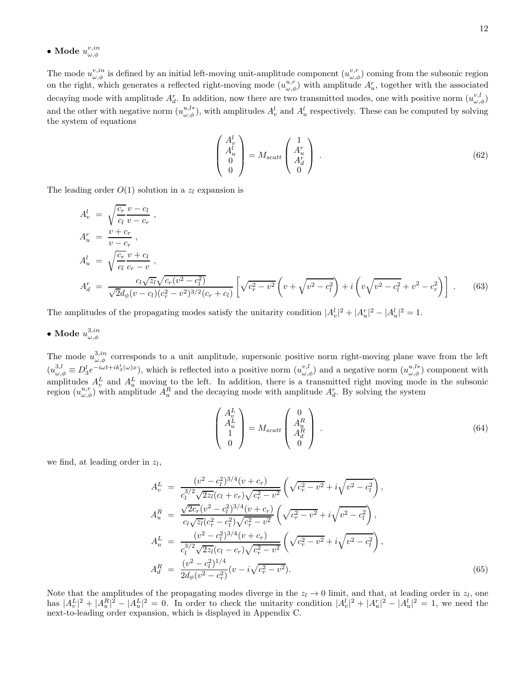$\bullet$  Mode  $u^{v,in}_{\omega,\phi}$ 

The mode  $u_{\omega,\phi}^{v,in}$  is defined by an initial left-moving unit-amplitude component  $(u_{\omega,\phi}^{v,r})$  coming from the subsonic region on the right, which generates a reflected right-moving mode  $(u_{\omega,\phi}^{u,r})$  with amplitude  $A_u^r$ , together with the associated decaying mode with amplitude  $A_d^r$ . In addition, now there are two transmitted modes, one with positive norm  $(u_{\omega,\phi}^{v,l})$ and the other with negative norm  $(u_{\omega,\phi}^{u,l*})$ , with amplitudes  $A_v^l$  and  $A_u^l$  respectively. These can be computed by solving the system of equations

$$
\begin{pmatrix} A_v^l \\ A_u^l \\ 0 \\ 0 \end{pmatrix} = M_{scatt} \begin{pmatrix} 1 \\ A_u^r \\ A_d^r \\ 0 \end{pmatrix} . \tag{62}
$$

The leading order  $O(1)$  solution in a  $z_l$  expansion is

<span id="page-11-0"></span>
$$
A_v^l = \sqrt{\frac{c_r}{c_l} \frac{v - c_l}{v - c_r}},
$$
  
\n
$$
A_u^r = \frac{v + c_r}{v - c_r},
$$
  
\n
$$
A_u^l = \sqrt{\frac{c_r}{c_l} \frac{v + c_l}{c_r - v}},
$$
  
\n
$$
A_d^r = \frac{c_l \sqrt{z_l} \sqrt{c_r (v^2 - c_l^2)}}{\sqrt{2} d_\phi (v - c_l) (c_r^2 - v^2)^{3/2} (c_r + c_l)} \left[ \sqrt{c_r^2 - v^2} \left( v + \sqrt{v^2 - c_l^2} \right) + i \left( v \sqrt{v^2 - c_l^2} + v^2 - c_r^2 \right) \right].
$$
\n(63)

The amplitudes of the propagating modes satisfy the unitarity condition  $|A_v^l|^2 + |A_u^r|^2 - |A_u^l|^2 = 1$ .

 $\bullet$  Mode  $u^{3,in}_{\omega,\phi}$ 

The mode  $u_{\omega,\phi}^{3,in}$  corresponds to a unit amplitude, supersonic positive norm right-moving plane wave from the left  $(u_{\omega,\phi}^{3,l} \equiv D_3^l e^{-i\omega t + ik_3^l(\omega)x}$ , which is reflected into a positive norm  $(u_{\omega,\phi}^{v,l})$  and a negative norm  $(u_{\omega,\phi}^{u,l*})$  component with amplitudes  $A_v^L$  and  $A_u^L$  moving to the left. In addition, there is a transmitted right moving mode in the subsonic region  $(u_{\omega,\phi}^{u,r})$  with amplitude  $A_u^R$  and the decaying mode with amplitude  $A_d^r$ . By solving the system

$$
\begin{pmatrix} A_v^L \\ A_u^L \\ 1 \\ 0 \end{pmatrix} = M_{scatt} \begin{pmatrix} 0 \\ A_u^R \\ A_d^R \\ 0 \end{pmatrix} . \tag{64}
$$

we find, at leading order in  $z_l$ ,

<span id="page-11-1"></span>
$$
A_v^L = \frac{(v^2 - c_l^2)^{3/4}(v + c_r)}{c_l^{3/2}\sqrt{2z_l}(c_l + c_r)\sqrt{c_r^2 - v^2}} \left(\sqrt{c_r^2 - v^2} + i\sqrt{v^2 - c_l^2}\right),
$$
  
\n
$$
A_u^R = \frac{\sqrt{2c_r}(v^2 - c_l^2)^{3/4}(v + c_r)}{c_l\sqrt{z_l}(c_r^2 - c_l^2)\sqrt{c_r^2 - v^2}} \left(\sqrt{c_r^2 - v^2} + i\sqrt{v^2 - c_l^2}\right),
$$
  
\n
$$
A_u^L = \frac{(v^2 - c_l^2)^{3/4}(v + c_r)}{c_l^{3/2}\sqrt{2z_l}(c_l - c_r)\sqrt{c_r^2 - v^2}} \left(\sqrt{c_r^2 - v^2} + i\sqrt{v^2 - c_l^2}\right),
$$
  
\n
$$
A_d^R = \frac{(v^2 - c_l^2)^{1/4}}{2d_\phi(v^2 - c_r^2)} (v - i\sqrt{c_r^2 - v^2}).
$$
\n(65)

Note that the amplitudes of the propagating modes diverge in the  $z_l \to 0$  limit, and that, at leading order in  $z_l$ , one has  $|A_v^L|^2 + |A_u^R|^2 - |A_u^L|^2 = 0$ . In order to check the unitarity condition  $|A_v^l|^2 + |A_u^r|^2 - |A_u^l|^2 = 1$ , we need the next-to-leading order expansion, which is displayed in Appendix C.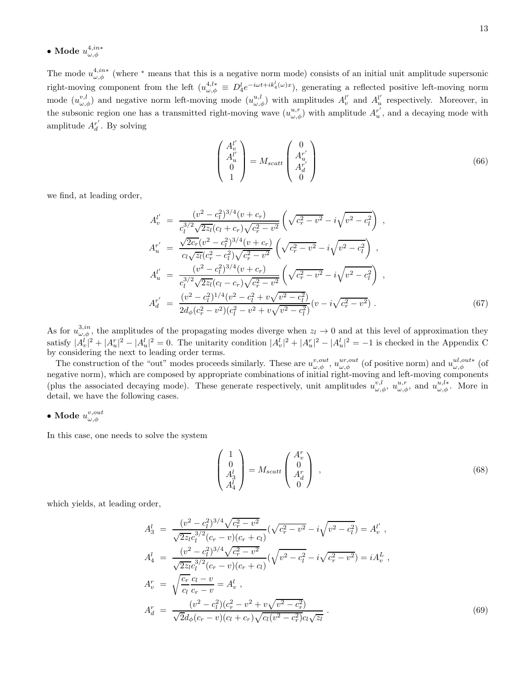The mode  $u_{\omega,\phi}^{4,in*}$  (where \* means that this is a negative norm mode) consists of an initial unit amplitude supersonic right-moving component from the left  $(u_{\omega,\phi}^{4,l*} \equiv D_4^l e^{-i\omega t + ik_4^l(\omega)x}$ , generating a reflected positive left-moving norm mode  $(u_{\omega,\phi}^{v,l})$  and negative norm left-moving mode  $(u_{\omega,\phi}^{u,l})$  with amplitudes  $A_v^{l'}$  $u'_{v}$  and  $A_u^{l'}$  $u'$  respectively. Moreover, in the subsonic region one has a transmitted right-moving wave  $(u_{\omega,\phi}^{u,r})$  with amplitude  $A_u^{r'}$ region one has a transmitted right-moving wave  $(u^{u,r}_{\omega,\phi})$  with amplitude  $A^{r'}_u$ , and a decaying mode with amplitude  $A_d^{r'}$ . By solving

$$
\begin{pmatrix} A_v^{l'} \\ A_u^{l'} \\ 0 \\ 1 \end{pmatrix} = M_{scatt} \begin{pmatrix} 0 \\ A_u^{r'} \\ A_d^{r'} \\ 0 \end{pmatrix}
$$
 (66)

we find, at leading order,

<span id="page-12-1"></span>
$$
A_v^{l'} = \frac{(v^2 - c_l^2)^{3/4}(v + c_r)}{c_l^{3/2}\sqrt{2z_l}(c_l + c_r)\sqrt{c_r^2 - v^2}} \left(\sqrt{c_r^2 - v^2} - i\sqrt{v^2 - c_l^2}\right) ,
$$
  
\n
$$
A_u^{r'} = \frac{\sqrt{2c_r}(v^2 - c_l^2)^{3/4}(v + c_r)}{c_l\sqrt{z_l}(c_r^2 - c_l^2)\sqrt{c_r^2 - v^2}} \left(\sqrt{c_r^2 - v^2} - i\sqrt{v^2 - c_l^2}\right) ,
$$
  
\n
$$
A_u^{l'} = \frac{(v^2 - c_l^2)^{3/4}(v + c_r)}{c_l^{3/2}\sqrt{2z_l}(c_l - c_r)\sqrt{c_r^2 - v^2}} \left(\sqrt{c_r^2 - v^2} - i\sqrt{v^2 - c_l^2}\right) ,
$$
  
\n
$$
A_d^{r'} = \frac{(v^2 - c_l^2)^{1/4}(v^2 - c_l^2 + v\sqrt{v^2 - c_l^2})}{2d_\phi(c_r^2 - v^2)(c_l^2 - v^2 + v\sqrt{v^2 - c_l^2})}(v - i\sqrt{c_r^2 - v^2}).
$$
\n(67)

As for  $u_{\omega,\phi}^{3,in}$ , the amplitudes of the propagating modes diverge when  $z_l \to 0$  and at this level of approximation they satisfy  $|A_v^l|^2 + |A_u^r|^2 - |A_u^l|^2 = 0$ . The unitarity condition  $|A_v^l|^2 + |A_u^r|^2 - |A_u^l|^2 = -1$  is checked in the Appendix C by considering the next to leading order terms.

The construction of the "out" modes proceeds similarly. These are  $u^{v,out}_{\omega,\phi}$ ,  $u^{ur,out}_{\omega,\phi}$  (of positive norm) and  $u^{ul,out}_{\omega,\phi}$  (of negative norm), which are composed by appropriate combinations of initial right-moving and left-moving components (plus the associated decaying mode). These generate respectively, unit amplitudes  $u_{\omega,\phi}^{v,l}$ ,  $u_{\omega,\phi}^{u,r}$ , and  $u_{\omega,\phi}^{u,l*}$ . More in detail, we have the following cases.

• Mode 
$$
u^{v,out}_{\omega,\phi}
$$

In this case, one needs to solve the system

$$
\begin{pmatrix} 1 \\ 0 \\ A_3^l \\ A_4^l \end{pmatrix} = M_{scatt} \begin{pmatrix} A_v^r \\ 0 \\ A_d^r \\ 0 \end{pmatrix} , \qquad (68)
$$

which yields, at leading order,

<span id="page-12-0"></span>
$$
A_3^l = \frac{(v^2 - c_l^2)^{3/4}\sqrt{c_r^2 - v^2}}{\sqrt{2z_l c_l^{3/2}(c_r - v)(c_r + c_l)}} (\sqrt{c_r^2 - v^2} - i\sqrt{v^2 - c_l^2}) = A_v^{l'},
$$
  
\n
$$
A_4^l = \frac{(v^2 - c_l^2)^{3/4}\sqrt{c_r^2 - v^2}}{\sqrt{2z_l c_l^{3/2}(c_r - v)(c_r + c_l)}} (\sqrt{v^2 - c_l^2} - i\sqrt{c_r^2 - v^2}) = iA_v^{L},
$$
  
\n
$$
A_v^r = \sqrt{\frac{c_r}{c_l} \frac{c_l - v}{c_r - v}} = A_v^{l},
$$
  
\n
$$
A_d^r = \frac{(v^2 - c_l^2)(c_r^2 - v^2 + v\sqrt{v^2 - c_r^2})}{\sqrt{2}d_\phi(c_r - v)(c_l + c_r)\sqrt{c_l(v^2 - c_r^2)}c_l\sqrt{z_l}}.
$$
\n(69)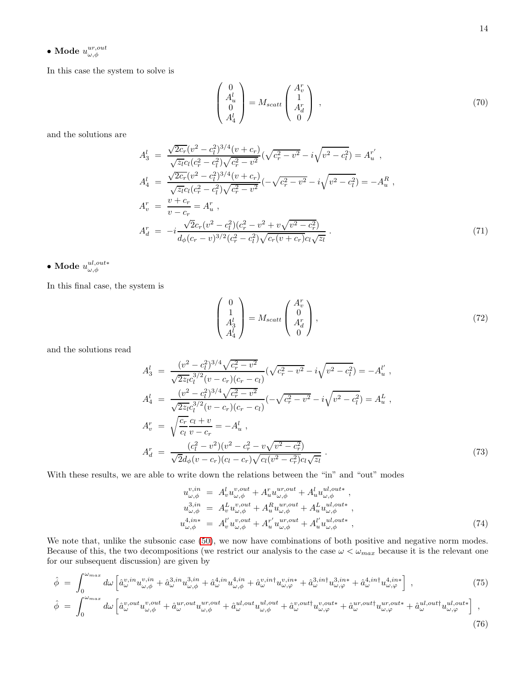$\bullet$  Mode  $u^{ur,out}_{\omega,\phi}$ 

In this case the system to solve is

$$
\begin{pmatrix} 0\\ A_u^l\\ 0\\ A_4^l \end{pmatrix} = M_{scatt} \begin{pmatrix} A_v^r\\ 1\\ A_d^r\\ 0 \end{pmatrix} , \qquad (70)
$$

and the solutions are

<span id="page-13-1"></span>
$$
A_3^l = \frac{\sqrt{2c_r}(v^2 - c_l^2)^{3/4}(v + c_r)}{\sqrt{z_l}c_l(c_r^2 - c_l^2)\sqrt{c_r^2 - v^2}}(\sqrt{c_r^2 - v^2} - i\sqrt{v^2 - c_l^2}) = A_u^{r'},
$$
  
\n
$$
A_4^l = \frac{\sqrt{2c_r}(v^2 - c_l^2)^{3/4}(v + c_r)}{\sqrt{z_l}c_l(c_r^2 - c_l^2)\sqrt{c_r^2 - v^2}}(-\sqrt{c_r^2 - v^2} - i\sqrt{v^2 - c_l^2}) = -A_u^R,
$$
  
\n
$$
A_v^r = \frac{v + c_r}{v - c_r} = A_u^r,
$$
  
\n
$$
A_d^r = -i\frac{\sqrt{2}c_r(v^2 - c_l^2)(c_r^2 - v^2 + v\sqrt{v^2 - c_r^2})}{d_\phi(c_r - v)^{3/2}(c_r^2 - c_l^2)\sqrt{c_r(v + c_r)}c_l\sqrt{z_l}}.
$$
\n(71)

 $\bullet$  Mode  $u^{ul,out*}_{\omega,\phi}$ 

In this final case, the system is

$$
\begin{pmatrix} 0\\1\\A_3^l\\A_4^l \end{pmatrix} = M_{scatt} \begin{pmatrix} A_v^r\\0\\A_d^r\\0 \end{pmatrix},\tag{72}
$$

and the solutions read

<span id="page-13-2"></span>
$$
A_3^l = \frac{(v^2 - c_l^2)^{3/4}\sqrt{c_r^2 - v^2}}{\sqrt{2z_l}c_l^{3/2}(v - c_r)(c_r - c_l)}(\sqrt{c_r^2 - v^2} - i\sqrt{v^2 - c_l^2}) = -A_u^{l'},
$$
  
\n
$$
A_4^l = \frac{(v^2 - c_l^2)^{3/4}\sqrt{c_r^2 - v^2}}{\sqrt{2z_l}c_l^{3/2}(v - c_r)(c_r - c_l)}(-\sqrt{c_r^2 - v^2} - i\sqrt{v^2 - c_l^2}) = A_u^L,
$$
  
\n
$$
A_v^r = \sqrt{\frac{c_r}{c_l}}\frac{c_l + v}{v - c_r} = -A_u^l,
$$
  
\n
$$
A_d^r = \frac{(c_l^2 - v^2)(v^2 - c_r^2 - v\sqrt{v^2 - c_r^2})}{\sqrt{2}d_\phi(v - c_r)(c_l - c_r)\sqrt{c_l(v^2 - c_r^2)}c_l\sqrt{z_l}}.
$$
\n(73)

With these results, we are able to write down the relations between the "in" and "out" modes

<span id="page-13-0"></span>
$$
u_{\omega,\phi}^{v,in} = A_v^l u_{\omega,\phi}^{v,out} + A_u^r u_{\omega,\phi}^{ur,out} + A_u^l u_{\omega,\phi}^{ul,out},
$$
  
\n
$$
u_{\omega,\phi}^{3,in} = A_v^L u_{\omega,\phi}^{v,out} + A_u^R u_{\omega,\phi}^{ur,out} + A_u^L u_{\omega,\phi}^{ul,out},
$$
  
\n
$$
u_{\omega,\phi}^{4,in*} = A_v^{l'} u_{\omega,\phi}^{v,out} + A_u^{r'} u_{\omega,\phi}^{ur,out} + A_u^{l'} u_{\omega,\phi}^{ul,out},
$$
  
\n(74)

We note that, unlike the subsonic case  $(50)$ , we now have combinations of both positive and negative norm modes. Because of this, the two decompositions (we restrict our analysis to the case  $\omega < \omega_{max}$  because it is the relevant one for our subsequent discussion) are given by

$$
\hat{\phi} = \int_0^{\omega_{max}} d\omega \left[ \hat{a}_{\omega}^{v,in} u_{\omega,\phi}^{v,in} + \hat{a}_{\omega}^{3,in} u_{\omega,\phi}^{3,in} + \hat{a}_{\omega}^{4,in} u_{\omega,\phi}^{4,in} + \hat{a}_{\omega}^{v,in} u_{\omega,\varphi}^{v,in*} + \hat{a}_{\omega}^{3,in} u_{\omega,\varphi}^{3,in*} + \hat{a}_{\omega}^{4,in} u_{\omega,\varphi}^{4,in*} \right],
$$
\n
$$
\hat{\phi} = \int_0^{\omega_{max}} d\omega \left[ \hat{a}_{\omega}^{v,out} u_{\omega,\phi}^{v,out} + \hat{a}_{\omega}^{ur,out} u_{\omega,\phi}^{ur,out} + \hat{a}_{\omega}^{ul,out} u_{\omega,\phi}^{ul,out} + \hat{a}_{\omega}^{v,out} u_{\omega,\varphi}^{u,out*} + \hat{a}_{\omega}^{ur,out} u_{\omega,\varphi}^{ur,out*} + \hat{a}_{\omega}^{ul,out} u_{\omega,\varphi}^{ul,out*} \right],
$$
\n(75)

$$
(76)
$$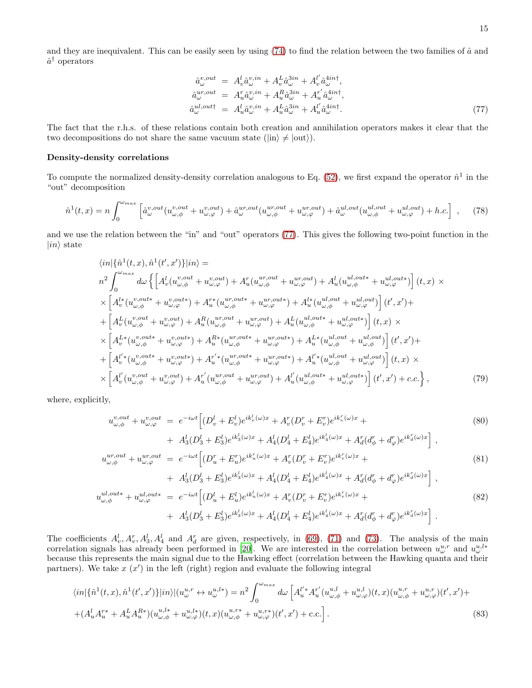and they are inequivalent. This can be easily seen by using  $(74)$  to find the relation between the two families of  $\hat{a}$  and  $\hat{a}^{\dagger}$  operators

<span id="page-14-0"></span>
$$
\begin{aligned}\n\hat{a}_{\omega}^{v,out} &= A_v^l \hat{a}_{\omega}^{v,in} + A_v^L \hat{a}_{\omega}^{3in} + A_v^{l'} \hat{a}_{\omega}^{4in\dagger}, \\
\hat{a}_{\omega}^{ur,out} &= A_u^r \hat{a}_{\omega}^{v,in} + A_u^R \hat{a}_{\omega}^{3in} + A_u^{r'} \hat{a}_{\omega}^{4in\dagger}, \\
\hat{a}_{\omega}^{ul,out\dagger} &= A_u^l \hat{a}_{\omega}^{v,in} + A_u^L \hat{a}_{\omega}^{3in} + A_u^{l'} \hat{a}_{\omega}^{4in\dagger}.\n\end{aligned} \tag{77}
$$

The fact that the r.h.s. of these relations contain both creation and annihilation operators makes it clear that the two decompositions do not share the same vacuum state ( $|in\rangle \neq |out\rangle$ ).

#### Density-density correlations

To compute the normalized density-density correlation analogous to Eq.  $(52)$ , we first expand the operator  $\hat{n}^1$  in the "out" decomposition

$$
\hat{n}^{1}(t,x) = n \int_{0}^{\omega_{max}} \left[ \hat{a}^{v,out}_{\omega} (u^{v,out}_{\omega,\phi} + u^{v,out}_{\omega,\varphi}) + \hat{a}^{ur,out}_{\omega} (u^{ur,out}_{\omega,\phi} + u^{ur,out}_{\omega,\varphi}) + \hat{a}^{ul,out}_{\omega} (u^{ul,out}_{\omega,\phi} + u^{ul,out}_{\omega,\varphi}) + h.c. \right], \quad (78)
$$

and we use the relation between the "in" and "out" operators [\(77\)](#page-14-0). This gives the following two-point function in the  $|in\rangle$  state

$$
\langle in|\{\hat{n}^1(t,x),\hat{n}^1(t',x')\}|in\rangle =
$$
\n
$$
n^2 \int_0^{\omega_{max}} d\omega \left\{ \left[ A_v^l(u_{\omega,\phi}^{v,out} + u_{\omega,\varphi}^{v,out}) + A_u^r(u_{\omega,\phi}^{ur,out} + u_{\omega,\varphi}^{ur,out}) + A_u^l(u_{\omega,\phi}^{ul,out} + u_{\omega,\varphi}^{ul,out}) \right](t,x) \right\}
$$
\n
$$
\times \left[ A_v^{l*}(u_{\omega,\phi}^{v,out} + u_{\omega,\varphi}^{v,out}) + A_u^{r*}(u_{\omega,\phi}^{ur,out} + u_{\omega,\varphi}^{ur,out}) + A_u^{l*}(u_{\omega,\phi}^{ul,out} + u_{\omega,\varphi}^{ul,out}) \right](t',x') +
$$
\n
$$
+ \left[ A_v^l(u_{\omega,\phi}^{v,out} + u_{\omega,\varphi}^{v,out}) + A_u^R(u_{\omega,\phi}^{ur,out} + u_{\omega,\varphi}^{ur,out}) + A_u^L(u_{\omega,\phi}^{ul,out} + u_{\omega,\varphi}^{ul,out}) \right](t',x') +
$$
\n
$$
\times \left[ A_v^{L*}(u_{\omega,\phi}^{v,out} + u_{\omega,\varphi}^{v,out}) + A_u^{R*}(u_{\omega,\phi}^{ur,out} + u_{\omega,\varphi}^{ur,out}) + A_u^{L*}(u_{\omega,\phi}^{ul,out} + u_{\omega,\varphi}^{ul,out}) \right](t',x') +
$$
\n
$$
+ \left[ A_v^{l*}(u_{\omega,\phi}^{v,out} + u_{\omega,\varphi}^{v,out}) + A_u^{r*}(u_{\omega,\phi}^{ur,out} + u_{\omega,\varphi}^{ur,out}) + A_u^{l*}(u_{\omega,\phi}^{ul,out} + u_{\omega,\varphi}^{ul,out}) \right](t,x) \right\}
$$
\n
$$
\times \left[ A_v^{l'}(u_{\omega,\phi}^{v,out} + u_{\omega,\varphi}^{v,out}) + A_u^{r'}(u_{\omega,\phi}^{ur,out} + u_{\omega,\varphi}^{ur,out}) + A_u^{l'}(u_{\omega,\phi}^{ul,out} + u_{\omega,\varphi}^{ul,out}) \right](t',x') + c.c. \right\},
$$
\n(79)

where, explicitly,

$$
u_{\omega,\phi}^{v,out} + u_{\omega,\varphi}^{v,out} = e^{-i\omega t} \Big[ (D_v^l + E_v^l) e^{ik_v^l(\omega)x} + A_v^r (D_v^r + E_v^r) e^{ik_v^r(\omega)x} + A_d^l (D_d^l + E_u^l) e^{ik_d^l(\omega)x} + A_d^l (D_d^l + E_d^l) e^{ik_d^l(\omega)x} + A_d^r (d_\phi^r + d_\varphi^r) e^{ik_d^r(\omega)x} \Big],
$$
  
\n
$$
u_{\omega,\phi}^{ur,out} + u_{\omega,\varphi}^{ur,out} = e^{-i\omega t} \Big[ (D_u^r + E_u^r) e^{ik_u^r(\omega)x} + A_v^r (D_v^r + E_v^r) e^{ik_v^r(\omega)x} + A_d^r (d_\phi^r + d_\varphi^r) e^{ik_d^r(\omega)x} \Big],
$$
  
\n
$$
+ A_3^l (D_3^l + E_3^l) e^{ik_3^l(\omega)x} + A_4^l (D_4^l + E_4^l) e^{ik_d^l(\omega)x} + A_d^r (d_\phi^r + d_\varphi^r) e^{ik_d^r(\omega)x} \Big],
$$
  
\n
$$
u_{\omega,\phi}^{ul,out*} + u_{\omega,\varphi}^{ul,out*} = e^{-i\omega t} \Big[ (D_u^l + E_u^l) e^{ik_u^l(\omega)x} + A_v^r (D_v^r + E_v^r) e^{ik_v^r(\omega)x} + A_d^r (d_\phi^r + d_\varphi^r) e^{ik_d^r(\omega)x} \Big].
$$
  
\n(82)

The coefficients  $A_v^l, A_v^r, A_3^l, A_4^l$  and  $A_d^r$  are given, respectively, in [\(69\)](#page-12-0), [\(71\)](#page-13-1) and [\(73\)](#page-13-2). The analysis of the main correlation signals has already been performed in [\[20\]](#page-31-18). We are interested in the correlation between  $u^{u,r}_{\omega}$  and  $u^{u,l*}_{\omega}$ because this represents the main signal due to the Hawking effect (correlation between the Hawking quanta and their partners). We take  $x(x')$  in the left (right) region and evaluate the following integral

$$
\langle in|\{\hat{n}^{1}(t,x),\hat{n}^{1}(t',x')\}|in\rangle |(u_{\omega}^{u,r} \leftrightarrow u_{\omega}^{u,l*}) = n^{2} \int_{0}^{\omega_{max}} d\omega \left[A_{u}^{l'*}A_{u}^{r'}(u_{\omega,\phi}^{u,l} + u_{\omega,\varphi}^{u,l})(t,x)(u_{\omega,\phi}^{u,r} + u_{\omega,\varphi}^{u,r})(t',x') + (A_{u}^{l}A_{u}^{r*} + A_{u}^{L}A_{u}^{R*})(u_{\omega,\phi}^{u,l*} + u_{\omega,\varphi}^{u,l*})(t,x)(u_{\omega,\phi}^{u,r*} + u_{\omega,\varphi}^{u,r*})(t',x') + \text{c.c.}\right].
$$
\n(83)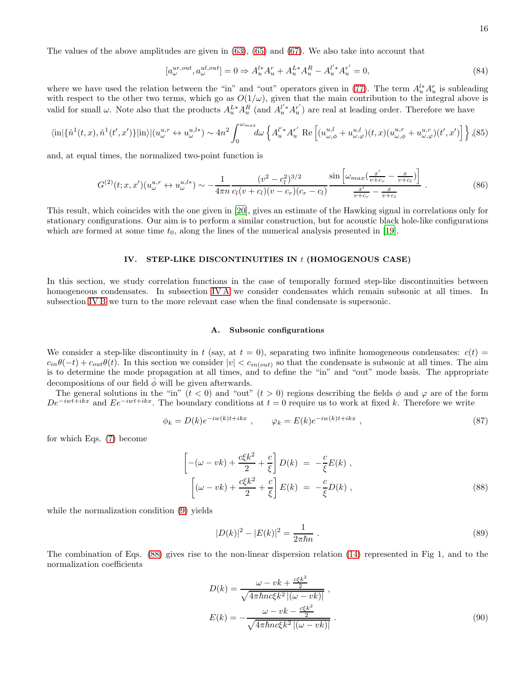The values of the above amplitudes are given in [\(63\)](#page-11-0), [\(65\)](#page-11-1) and [\(67\)](#page-12-1). We also take into account that

$$
[a_{\omega}^{ur,out}, a_{\omega}^{ul,out}] = 0 \Rightarrow A_u^{l*} A_u^r + A_u^{L*} A_u^R - A_u^{l'*} A_u^{r'} = 0,
$$
\n(84)

where we have used the relation between the "in" and "out" operators given in [\(77\)](#page-14-0). The term  $A_u^{l*} A_u^r$  is subleading with respect to the other two terms, which go as  $O(1/\omega)$ , given that the main contribution to the integral above is valid for small  $\omega$ . Note also that the products  $A_u^{L*} A_u^{R'}$  (and  $A_u^{L'*} A_u^{r'}$  $u<sub>u</sub><sup>r'</sup>$  are real at leading order. Therefore we have

$$
\langle \text{in}| \{\hat{n}^{1}(t,x), \hat{n}^{1}(t',x')\} |\text{in} \rangle |(u_{\omega}^{u,r} \leftrightarrow u_{\omega}^{u,l*}) \sim 4n^{2} \int_{0}^{\omega_{max}} d\omega \left\{ A_{u}^{l'*} A_{u}^{r'} \text{ Re}\left[ (u_{\omega,\phi}^{u,l} + u_{\omega,\varphi}^{u,l})(t,x) (u_{\omega,\phi}^{u,r} + u_{\omega,\varphi}^{u,r})(t',x') \right] \right\}, (85)
$$

and, at equal times, the normalized two-point function is

<span id="page-15-2"></span>
$$
G^{(2)}(t;x,x')(u^{u,r}_{\omega} \leftrightarrow u^{u,l*}_{\omega}) \sim -\frac{1}{4\pi n} \frac{(v^2 - c_l^2)^{3/2}}{c_l(v+c_l)(v-c_r)(c_r - c_l)} \frac{\sin\left[\omega_{max}\left(\frac{x'}{v+c_r} - \frac{x}{v+c_l}\right)\right]}{\frac{x'}{v+c_r} - \frac{x}{v+c_l}}.
$$
\n(86)

This result, which coincides with the one given in [\[20\]](#page-31-18), gives an estimate of the Hawking signal in correlations only for stationary configurations. Our aim is to perform a similar construction, but for acoustic black hole-like configurations which are formed at some time  $t_0$ , along the lines of the numerical analysis presented in [\[19\]](#page-31-17).

#### IV. STEP-LIKE DISCONTINUITIES IN  $t$  (HOMOGENOUS CASE)

In this section, we study correlation functions in the case of temporally formed step-like discontinuities between homogeneous condensates. In subsection IVA we consider condensates which remain subsonic at all times. In subsection [IV B](#page-18-0) we turn to the more relevant case when the final condensate is supersonic.

#### <span id="page-15-0"></span>A. Subsonic configurations

We consider a step-like discontinuity in t (say, at  $t = 0$ ), separating two infinite homogeneous condensates:  $c(t)$  =  $c_{in}\theta(-t) + c_{out}\theta(t)$ . In this section we consider  $|v| < c_{in(out)}$  so that the condensate is subsonic at all times. The aim is to determine the mode propagation at all times, and to define the "in" and "out" mode basis. The appropriate decompositions of our field  $\hat{\phi}$  will be given afterwards.

The general solutions in the "in"  $(t < 0)$  and "out"  $(t > 0)$  regions describing the fields  $\phi$  and  $\varphi$  are of the form  $De^{-iwt+ikx}$  and  $Ee^{-iwt+ikx}$ . The boundary conditions at  $t = 0$  require us to work at fixed k. Therefore we write

$$
\phi_k = D(k)e^{-iw(k)t + ikx} \ , \qquad \varphi_k = E(k)e^{-iw(k)t + ikx} \ , \tag{87}
$$

for which Eqs. [\(7\)](#page-1-3) become

<span id="page-15-1"></span>
$$
\left[ -(\omega - vk) + \frac{c\xi k^2}{2} + \frac{c}{\xi} \right] D(k) = -\frac{c}{\xi} E(k) ,
$$
  

$$
\left[ (\omega - vk) + \frac{c\xi k^2}{2} + \frac{c}{\xi} \right] E(k) = -\frac{c}{\xi} D(k) ,
$$
 (88)

while the normalization condition [\(9\)](#page-2-1) yields

$$
|D(k)|^2 - |E(k)|^2 = \frac{1}{2\pi\hbar n} \; . \tag{89}
$$

The combination of Eqs. [\(88\)](#page-15-1) gives rise to the non-linear dispersion relation [\(14\)](#page-2-4) represented in Fig 1, and to the normalization coefficients

$$
D(k) = \frac{\omega - vk + \frac{c\xi k^2}{2}}{\sqrt{4\pi\hbar n c\xi k^2 \left| (\omega - vk) \right|}} ,
$$
  

$$
E(k) = -\frac{\omega - vk - \frac{c\xi k^2}{2}}{\sqrt{4\pi\hbar n c\xi k^2 \left| (\omega - vk) \right|}} .
$$
 (90)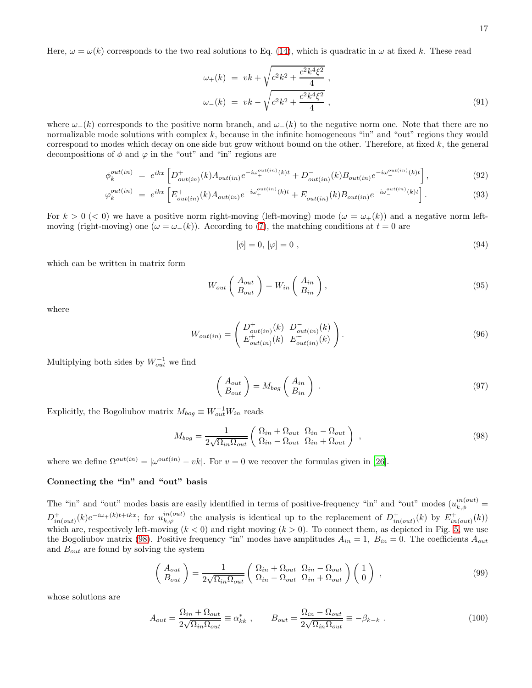Here,  $\omega = \omega(k)$  corresponds to the two real solutions to Eq. [\(14\)](#page-2-4), which is quadratic in  $\omega$  at fixed k. These read

$$
\omega_{+}(k) = vk + \sqrt{c^{2}k^{2} + \frac{c^{2}k^{4}\xi^{2}}{4}},
$$
  

$$
\omega_{-}(k) = vk - \sqrt{c^{2}k^{2} + \frac{c^{2}k^{4}\xi^{2}}{4}},
$$
\n(91)

where  $\omega_{+}(k)$  corresponds to the positive norm branch, and  $\omega_{-}(k)$  to the negative norm one. Note that there are no normalizable mode solutions with complex  $k$ , because in the infinite homogeneous "in" and "out" regions they would correspond to modes which decay on one side but grow without bound on the other. Therefore, at fixed  $k$ , the general decompositions of  $\phi$  and  $\varphi$  in the "out" and "in" regions are

$$
\phi_k^{out(in)} = e^{ikx} \left[ D^+_{out(in)}(k) A_{out(in)} e^{-i\omega_+^{out(in)}(k)t} + D^-_{out(in)}(k) B_{out(in)} e^{-i\omega_-^{out(in)}(k)t} \right],
$$
\n(92)

$$
\varphi_k^{out(in)} = e^{ikx} \left[ E^+_{out(in)}(k) A_{out(in)} e^{-i\omega_+^{out(in)}(k)t} + E^-_{out(in)}(k) B_{out(in)} e^{-i\omega_-^{out(in)}(k)t} \right].
$$
\n(93)

For  $k > 0$  (< 0) we have a positive norm right-moving (left-moving) mode ( $\omega = \omega_{+}(k)$ ) and a negative norm leftmoving (right-moving) one ( $\omega = \omega_-(k)$ ). According to [\(7\)](#page-1-3), the matching conditions at  $t = 0$  are

<span id="page-16-1"></span>
$$
[\phi] = 0, [\varphi] = 0 \t{,} \t(94)
$$

which can be written in matrix form

$$
W_{out} \left( \begin{array}{c} A_{out} \\ B_{out} \end{array} \right) = W_{in} \left( \begin{array}{c} A_{in} \\ B_{in} \end{array} \right), \tag{95}
$$

where

$$
W_{out(in)} = \begin{pmatrix} D_{out(in)}^{+}(k) & D_{out(in)}^{-}(k) \\ E_{out(in)}^{+}(k) & E_{out(in)}^{-}(k) \end{pmatrix}.
$$
\n(96)

Multiplying both sides by  $W_{out}^{-1}$  we find

$$
\begin{pmatrix} A_{out} \\ B_{out} \end{pmatrix} = M_{bog} \begin{pmatrix} A_{in} \\ B_{in} \end{pmatrix} . \tag{97}
$$

Explicitly, the Bogoliubov matrix  $M_{bog} \equiv W_{out}^{-1} W_{in}$  reads

<span id="page-16-0"></span>
$$
M_{bog} = \frac{1}{2\sqrt{\Omega_{in}\Omega_{out}}} \begin{pmatrix} \Omega_{in} + \Omega_{out} & \Omega_{in} - \Omega_{out} \\ \Omega_{in} - \Omega_{out} & \Omega_{in} + \Omega_{out} \end{pmatrix} , \qquad (98)
$$

where we define  $\Omega^{out(in)} = |\omega^{out(in)} - vk|$ . For  $v = 0$  we recover the formulas given in [\[26\]](#page-31-21).

### Connecting the "in" and "out" basis

The "in" and "out" modes basis are easily identified in terms of positive-frequency "in" and "out" modes  $(u_{k,\phi}^{in(out)}=$  $D^+_{in(out)}(k)e^{-i\omega_+(k)t+ikx}$ ; for  $u^{in(out)}_{k,\varphi}$  the analysis is identical up to the replacement of  $D^+_{in(out)}(k)$  by  $E^+_{in(out)}(k)$ which are, respectively left-moving  $(k < 0)$  and right moving  $(k > 0)$ . To connect them, as depicted in Fig. [5,](#page-17-0) we use the Bogoliubov matrix [\(98\)](#page-16-0). Positive frequency "in" modes have amplitudes  $A_{in} = 1$ ,  $B_{in} = 0$ . The coefficients  $A_{out}$ and  $B_{out}$  are found by solving the system

$$
\begin{pmatrix} A_{out} \\ B_{out} \end{pmatrix} = \frac{1}{2\sqrt{\Omega_{in}\Omega_{out}}} \begin{pmatrix} \Omega_{in} + \Omega_{out} & \Omega_{in} - \Omega_{out} \\ \Omega_{in} - \Omega_{out} & \Omega_{in} + \Omega_{out} \end{pmatrix} \begin{pmatrix} 1 \\ 0 \end{pmatrix} ,
$$
\n(99)

whose solutions are

$$
A_{out} = \frac{\Omega_{in} + \Omega_{out}}{2\sqrt{\Omega_{in}\Omega_{out}}} \equiv \alpha_{kk}^* , \qquad B_{out} = \frac{\Omega_{in} - \Omega_{out}}{2\sqrt{\Omega_{in}\Omega_{out}}} \equiv -\beta_{k-k} . \qquad (100)
$$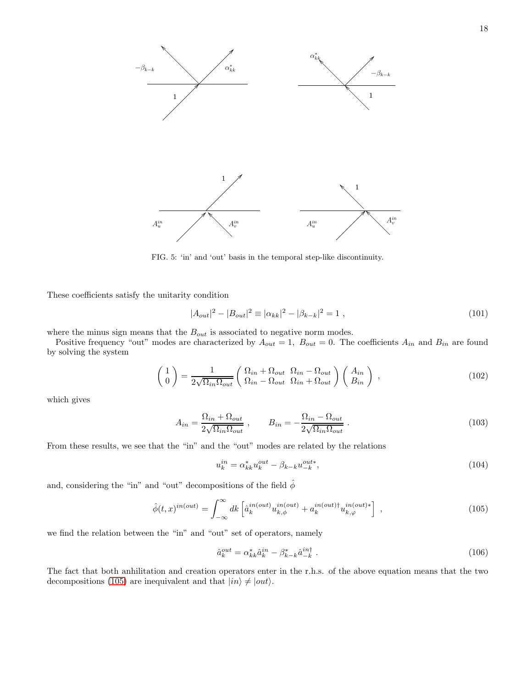

<span id="page-17-0"></span>FIG. 5: 'in' and 'out' basis in the temporal step-like discontinuity.

These coefficients satisfy the unitarity condition

$$
|A_{out}|^2 - |B_{out}|^2 \equiv |\alpha_{kk}|^2 - |\beta_{k-k}|^2 = 1,
$$
\n(101)

where the minus sign means that the  $B_{out}$  is associated to negative norm modes.

Positive frequency "out" modes are characterized by  $A_{out} = 1$ ,  $B_{out} = 0$ . The coefficients  $A_{in}$  and  $B_{in}$  are found by solving the system

$$
\begin{pmatrix} 1 \\ 0 \end{pmatrix} = \frac{1}{2\sqrt{\Omega_{in}\Omega_{out}}} \begin{pmatrix} \Omega_{in} + \Omega_{out} & \Omega_{in} - \Omega_{out} \\ \Omega_{in} - \Omega_{out} & \Omega_{in} + \Omega_{out} \end{pmatrix} \begin{pmatrix} A_{in} \\ B_{in} \end{pmatrix} ,
$$
\n(102)

which gives

$$
A_{in} = \frac{\Omega_{in} + \Omega_{out}}{2\sqrt{\Omega_{in}\Omega_{out}}}, \qquad B_{in} = -\frac{\Omega_{in} - \Omega_{out}}{2\sqrt{\Omega_{in}\Omega_{out}}}.
$$
\n(103)

From these results, we see that the "in" and the "out" modes are related by the relations

$$
u_k^{in} = \alpha_{kk}^* u_k^{out} - \beta_{k-k} u_{-k}^{out*}, \qquad (104)
$$

and, considering the "in" and "out" decompositions of the field  $\hat{\phi}$ 

<span id="page-17-1"></span>
$$
\hat{\phi}(t,x)^{in(out)} = \int_{-\infty}^{\infty} dk \left[ \hat{a}_k^{in(out)} u_{k,\phi}^{in(out)} + a_k^{in(out)\dagger} u_{k,\varphi}^{in(out)*} \right] ,
$$
\n(105)

we find the relation between the "in" and "out" set of operators, namely

<span id="page-17-2"></span>
$$
\hat{a}_k^{out} = \alpha_{kk}^* \hat{a}_k^{in} - \beta_{k-k}^* \hat{a}_{-k}^{in\dagger} \tag{106}
$$

The fact that both anhilitation and creation operators enter in the r.h.s. of the above equation means that the two decompositions [\(105\)](#page-17-1) are inequivalent and that  $|in\rangle \neq |out\rangle$ .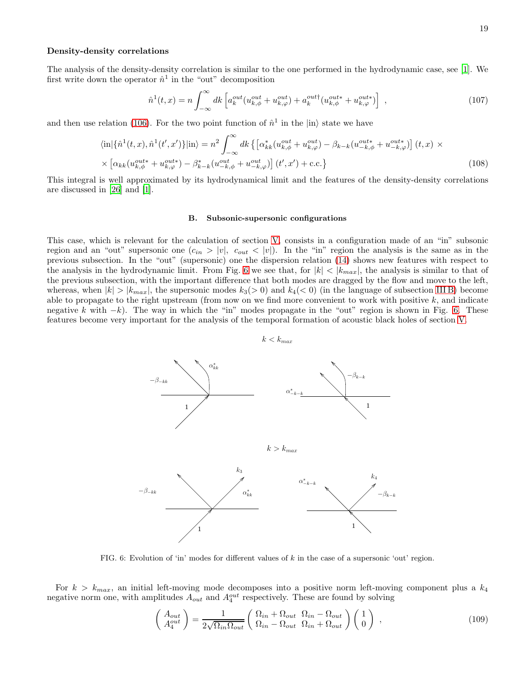#### Density-density correlations

The analysis of the density-density correlation is similar to the one performed in the hydrodynamic case, see [\[1](#page-31-0)]. We first write down the operator  $\hat{n}^1$  in the "out" decomposition

$$
\hat{n}^{1}(t,x) = n \int_{-\infty}^{\infty} dk \left[ a_{k}^{out}(u_{k,\phi}^{out} + u_{k,\phi}^{out}) + a_{k}^{out\dagger}(u_{k,\phi}^{out*} + u_{k,\phi}^{out*}) \right] , \qquad (107)
$$

and then use relation [\(106\)](#page-17-2). For the two point function of  $\hat{n}^1$  in the  $|in\rangle$  state we have

$$
\langle \text{in} \left| \{\hat{n}^1(t,x), \hat{n}^1(t',x')\} | \text{in} \right\rangle = n^2 \int_{-\infty}^{\infty} dk \left\{ \left[ \alpha_{kk}^*(u_{k,\phi}^{out} + u_{k,\varphi}^{out}) - \beta_{k-k}(u_{-k,\phi}^{out*} + u_{-k,\varphi}^{out*}) \right] (t,x) \right\}
$$

$$
\times \left[ \alpha_{kk}(u_{k,\phi}^{out*} + u_{k,\varphi}^{out*}) - \beta_{k-k}^*(u_{-k,\phi}^{out} + u_{-k,\varphi}^{out}) \right] (t',x') + \text{c.c.} \right\} \tag{108}
$$

This integral is well approximated by its hydrodynamical limit and the features of the density-density correlations are discussed in [\[26](#page-31-21)] and [\[1\]](#page-31-0).

#### <span id="page-18-0"></span>B. Subsonic-supersonic configurations

This case, which is relevant for the calculation of section [V,](#page-19-0) consists in a configuration made of an "in" subsonic region and an "out" supersonic one  $(c_{in} > |v|, c_{out} < |v|)$ . In the "in" region the analysis is the same as in the previous subsection. In the "out" (supersonic) one the dispersion relation [\(14\)](#page-2-4) shows new features with respect to the analysis in the hydrodynamic limit. From Fig. [6](#page-18-1) we see that, for  $|k| < |k_{max}|$ , the analysis is similar to that of the previous subsection, with the important difference that both modes are dragged by the flow and move to the left, whereas, when  $|k| > |k_{max}|$ , the supersonic modes  $k_3(> 0)$  and  $k_4(< 0)$  (in the language of subsection [III B\)](#page-8-0) become able to propagate to the right upstream (from now on we find more convenient to work with positive  $k$ , and indicate negative k with  $-k$ ). The way in which the "in" modes propagate in the "out" region is shown in Fig. [6.](#page-18-1) These features become very important for the analysis of the temporal formation of acoustic black holes of section [V.](#page-19-0)

> $1 / 1$ 1 1  $-\beta_{-kk}$  $-\beta_{-kk}$  $\alpha_{kk}^*$  $\stackrel{*}{\leftarrow}$ kk  $-\beta_{k-k}$ α ∗  $-k-k$  $k_4$  $_{k_{3}}$ α ∗  $-k-k$ α ∗ kk  $-\beta_{k-k}$  $k > k_{max}$

<span id="page-18-1"></span>FIG. 6: Evolution of 'in' modes for different values of  $k$  in the case of a supersonic 'out' region.

For  $k > k_{max}$ , an initial left-moving mode decomposes into a positive norm left-moving component plus a  $k_4$ negative norm one, with amplitudes  $A_{out}$  and  $A_4^{out}$  respectively. These are found by solving

$$
\begin{pmatrix} A_{out} \\ A_4^{out} \end{pmatrix} = \frac{1}{2\sqrt{\Omega_{in}\Omega_{out}}} \begin{pmatrix} \Omega_{in} + \Omega_{out} & \Omega_{in} - \Omega_{out} \\ \Omega_{in} - \Omega_{out} & \Omega_{in} + \Omega_{out} \end{pmatrix} \begin{pmatrix} 1 \\ 0 \end{pmatrix} ,
$$
\n(109)



19

 $k < k_{max}$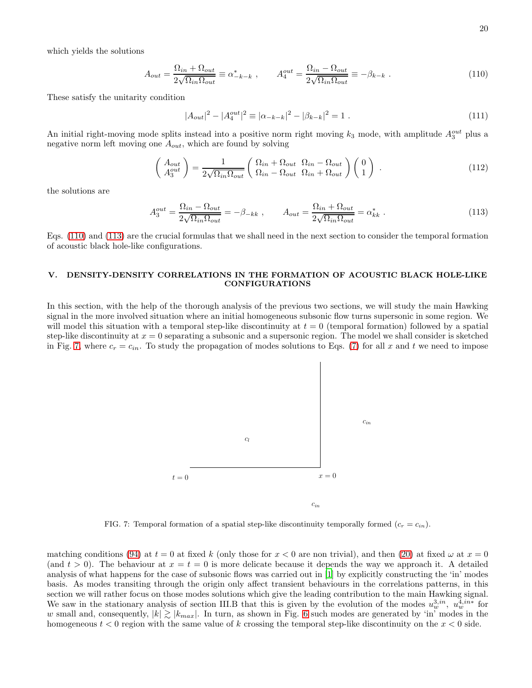which yields the solutions

<span id="page-19-1"></span>
$$
A_{out} = \frac{\Omega_{in} + \Omega_{out}}{2\sqrt{\Omega_{in}\Omega_{out}}} \equiv \alpha_{-k-k}^* , \qquad A_4^{out} = \frac{\Omega_{in} - \Omega_{out}}{2\sqrt{\Omega_{in}\Omega_{out}}} \equiv -\beta_{k-k} . \qquad (110)
$$

These satisfy the unitarity condition

$$
|A_{out}|^2 - |A_4^{out}|^2 \equiv |\alpha_{-k-k}|^2 - |\beta_{k-k}|^2 = 1.
$$
\n(11)

An initial right-moving mode splits instead into a positive norm right moving  $k_3$  mode, with amplitude  $A_3^{out}$  plus a negative norm left moving one  $A_{out}$ , which are found by solving

$$
\begin{pmatrix} A_{out} \\ A_3^{out} \end{pmatrix} = \frac{1}{2\sqrt{\Omega_{in}\Omega_{out}}} \begin{pmatrix} \Omega_{in} + \Omega_{out} & \Omega_{in} - \Omega_{out} \\ \Omega_{in} - \Omega_{out} & \Omega_{in} + \Omega_{out} \end{pmatrix} \begin{pmatrix} 0 \\ 1 \end{pmatrix} . \tag{112}
$$

the solutions are

<span id="page-19-2"></span>
$$
A_3^{out} = \frac{\Omega_{in} - \Omega_{out}}{2\sqrt{\Omega_{in}\Omega_{out}}} = -\beta_{-kk} , \qquad A_{out} = \frac{\Omega_{in} + \Omega_{out}}{2\sqrt{\Omega_{in}\Omega_{out}}} = \alpha_{kk}^* .
$$
 (113)

Eqs. [\(110\)](#page-19-1) and [\(113\)](#page-19-2) are the crucial formulas that we shall need in the next section to consider the temporal formation of acoustic black hole-like configurations.

#### <span id="page-19-0"></span>V. DENSITY-DENSITY CORRELATIONS IN THE FORMATION OF ACOUSTIC BLACK HOLE-LIKE CONFIGURATIONS

In this section, with the help of the thorough analysis of the previous two sections, we will study the main Hawking signal in the more involved situation where an initial homogeneous subsonic flow turns supersonic in some region. We will model this situation with a temporal step-like discontinuity at  $t = 0$  (temporal formation) followed by a spatial step-like discontinuity at  $x = 0$  separating a subsonic and a supersonic region. The model we shall consider is sketched in Fig. [7,](#page-19-3) where  $c_r = c_{in}$ . To study the propagation of modes solutions to Eqs. [\(7\)](#page-1-3) for all x and t we need to impose



<span id="page-19-3"></span>FIG. 7: Temporal formation of a spatial step-like discontinuity temporally formed  $(c_r = c_{in}).$ 

matching conditions [\(94\)](#page-16-1) at  $t = 0$  at fixed k (only those for  $x < 0$  are non trivial), and then [\(20\)](#page-4-0) at fixed  $\omega$  at  $x = 0$ (and  $t > 0$ ). The behaviour at  $x = t = 0$  is more delicate because it depends the way we approach it. A detailed analysis of what happens for the case of subsonic flows was carried out in [\[1\]](#page-31-0) by explicitly constructing the 'in' modes basis. As modes transiting through the origin only affect transient behaviours in the correlations patterns, in this section we will rather focus on those modes solutions which give the leading contribution to the main Hawking signal. We saw in the stationary analysis of section III.B that this is given by the evolution of the modes  $u_w^{3,in}$ ,  $u_w^{4,in*}$  for w small and, consequently,  $|k| \gtrsim |k_{max}|$ . In turn, as shown in Fig. [6](#page-18-1) such modes are generated by 'in' modes in the homogeneous  $t < 0$  region with the same value of k crossing the temporal step-like discontinuity on the  $x < 0$  side.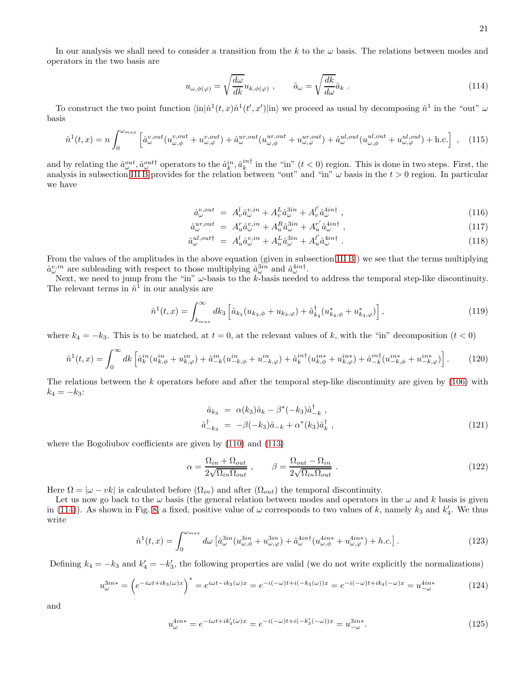In our analysis we shall need to consider a transition from the k to the  $\omega$  basis. The relations between modes and operators in the two basis are

<span id="page-20-0"></span>
$$
u_{\omega,\phi(\varphi)} = \sqrt{\frac{d\omega}{dk}} u_{k,\phi(\varphi)} , \qquad \hat{a}_{\omega} = \sqrt{\frac{dk}{d\omega}} \hat{a}_k .
$$
 (114)

To construct the two point function  $\langle \text{in} | \hat{n}^1(t, x) \hat{n}^1(t', x') | \text{in} \rangle$  we proceed as usual by decomposing  $\hat{n}^1$  in the "out"  $\omega$ basis

$$
\hat{n}^{1}(t,x) = n \int_{0}^{\omega_{max}} \left[ \hat{a}_{\omega}^{v,out}(u_{\omega,\phi}^{v,out} + u_{\omega,\varphi}^{v,out}) + \hat{a}_{\omega}^{ur,out}(u_{\omega,\phi}^{ur,out} + u_{\omega,\varphi}^{ur,out}) + \hat{a}_{\omega}^{ul,out}(u_{\omega,\phi}^{ul,out} + u_{\omega,\varphi}^{ul,out}) + \text{h.c.} \right], \quad (115)
$$

and by relating the  $\hat{a}^{out}_{\omega}$ ,  $\hat{a}^{out\dagger}_{\omega}$  operators to the  $\hat{a}^{in}_{k}$ ,  $\hat{a}^{in\dagger}_{k}$  in the "in"  $(t < 0)$  region. This is done in two steps. First, the analysis in subsection IIIB provides for the relation between "out" and "in"  $\omega$  basis in the  $t > 0$  region. In particular we have

$$
\hat{a}^{v,out}_{\omega} = A^l_v \hat{a}^{v,in}_{\omega} + A^L_v \hat{a}^{3in}_{\omega} + A^{l'}_v \hat{a}^{4in\dagger}_{\omega} , \qquad (116)
$$

$$
\hat{a}^{ur,out}_{\omega} = A_u^r \hat{a}^{v,in}_{\omega} + A_u^R \hat{a}^{3in}_{\omega} + A_u^{r'} \hat{a}^{4in\dagger}_{\omega} , \qquad (117)
$$

$$
\hat{a}^{ul,out}_{\omega} = A^l_u \hat{a}^{v,in}_{\omega} + A^L_u \hat{a}^{3in}_{\omega} + A^l_u \hat{a}^{4in\dagger}_{\omega} . \tag{118}
$$

From the values of the amplitudes in the above equation (given in subsection [III B](#page-8-0) ) we see that the terms multiplying  $\hat{a}^{v,in}_{\omega}$  are subleading with respect to those multiplying  $\hat{a}^{3in}_{\omega}$  and  $\hat{a}^{4in\dagger}_{\omega}$ .

Next, we need to jump from the "in"  $\omega$ -basis to the k-basis needed to address the temporal step-like discontinuity. The relevant terms in  $\hat{n}^1$  in our analysis are

$$
\hat{n}^{1}(t,x) = \int_{k_{max}}^{\infty} dk_{3} \left[ \hat{a}_{k_{3}}(u_{k_{3},\phi} + u_{k_{3},\varphi}) + \hat{a}_{k_{4}}^{\dagger}(u_{k_{4},\phi}^{*} + u_{k_{4},\varphi}^{*}) \right],
$$
\n(119)

where  $k_4 = -k_3$ . This is to be matched, at  $t = 0$ , at the relevant values of k, with the "in" decomposition  $(t < 0)$ 

$$
\hat{n}^{1}(t,x) = \int_{0}^{\infty} dk \left[ \hat{a}_{k}^{in}(u_{k,\phi}^{in} + u_{k,\varphi}^{in}) + \hat{a}_{-k}^{in}(u_{-k,\phi}^{in} + u_{-k,\varphi}^{in}) + \hat{a}_{k}^{in\dag}(u_{k,\phi}^{in*} + u_{k,\varphi}^{in*}) + \hat{a}_{-k}^{in\dag}(u_{-k,\phi}^{in*} + u_{-k,\varphi}^{in*}) \right].
$$
\n(120)

The relations between the k operators before and after the temporal step-like discontinuity are given by [\(106\)](#page-17-2) with  $k_4 = -k_3$ :

<span id="page-20-1"></span>
$$
\hat{a}_{k_3} = \alpha(k_3)\hat{a}_k - \beta^*(-k_3)\hat{a}_{-k}^{\dagger}, \n\hat{a}_{-k_3}^{\dagger} = -\beta(-k_3)\hat{a}_{-k} + \alpha^*(k_3)\hat{a}_k^{\dagger},
$$
\n(121)

where the Bogoliubov coefficients are given by [\(110\)](#page-19-1) and [\(113\)](#page-19-2)

<span id="page-20-2"></span>
$$
\alpha = \frac{\Omega_{in} + \Omega_{out}}{2\sqrt{\Omega_{in}\Omega_{out}}}, \qquad \beta = \frac{\Omega_{out} - \Omega_{in}}{2\sqrt{\Omega_{in}\Omega_{out}}}.
$$
\n(122)

Here  $\Omega = |\omega - v\kappa|$  is calculated before  $(\Omega_{in})$  and after  $(\Omega_{out})$  the temporal discontinuity.

Let us now go back to the  $\omega$  basis (the general relation between modes and operators in the  $\omega$  and k basis is given in [\(114\)](#page-20-0)). As shown in Fig. [8,](#page-21-0) a fixed, positive value of  $\omega$  corresponds to two values of k, namely  $k_3$  and  $k'_4$ . We thus write

$$
\hat{n}^1(t,x) = \int_0^{\omega_{max}} d\omega \left[ \hat{a}^{3in}_{\omega} (u^{3in}_{\omega,\phi} + u^{3in}_{\omega,\varphi}) + \hat{a}^{4in\dagger}_{\omega} (u^{4in*}_{\omega,\phi} + u^{4in*}_{\omega,\varphi}) + h.c. \right]. \tag{123}
$$

Defining  $k_4 = -k_3$  and  $k'_4 = -k'_3$ , the following properties are valid (we do not write explicitly the normalizations)

$$
u_{\omega}^{3in*} = \left(e^{-i\omega t + ik_3(\omega)x}\right)^* = e^{i\omega t - ik_3(\omega)x} = e^{-i(-\omega)t + i(-k_3(\omega))x} = e^{-i(-\omega)t + ik_4(-\omega)x} = u_{-\omega}^{4in*} \tag{124}
$$

and

$$
u_{\omega}^{4in*} = e^{-i\omega t + ik_4'(\omega)x} = e^{-i(-\omega)t + i(-k_3'(-\omega))x} = u_{-\omega}^{3in*}.
$$
\n(125)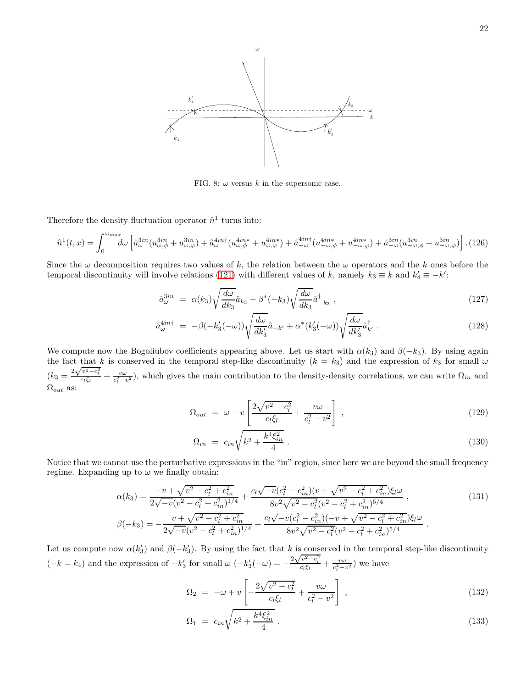

<span id="page-21-0"></span>FIG. 8:  $\omega$  versus k in the supersonic case.

Therefore the density fluctuation operator  $\hat{n}^1$  turns into:

$$
\hat{n}^{1}(t,x) = \int_{0}^{\omega_{max}} d\omega \left[ \hat{a}^{3in}_{\omega} (u^{3in}_{\omega,\phi} + u^{3in}_{\omega,\varphi}) + \hat{a}^{4in\dagger}_{\omega} (u^{4in*}_{\omega,\phi} + u^{4in*}_{\omega,\varphi}) + \hat{a}^{4in\dagger}_{-\omega} (u^{4in*}_{-\omega,\phi} + u^{4in*}_{-\omega,\varphi}) + \hat{a}^{3in}_{-\omega} (u^{3in}_{-\omega,\phi} + u^{3in}_{-\omega,\varphi}) \right]. (126)
$$

Since the  $\omega$  decomposition requires two values of k, the relation between the  $\omega$  operators and the k ones before the temporal discontinuity will involve relations [\(121\)](#page-20-1) with different values of k, namely  $k_3 \equiv k$  and  $k'_4 \equiv -k'$ :

$$
\hat{a}_{\omega}^{3in} = \alpha(k_3) \sqrt{\frac{d\omega}{dk_3}} \hat{a}_{k_3} - \beta^*(-k_3) \sqrt{\frac{d\omega}{dk_3}} \hat{a}_{-k_3}^{\dagger} , \qquad (127)
$$

$$
\hat{a}^{4int}_{\omega} = -\beta(-k'_3(-\omega))\sqrt{\frac{d\omega}{dk'_3}}\hat{a}_{-k'} + \alpha^*(k'_3(-\omega))\sqrt{\frac{d\omega}{dk'_3}}\hat{a}^{\dagger}_{k'}.
$$
\n(128)

We compute now the Bogoliubov coefficients appearing above. Let us start with  $\alpha(k_3)$  and  $\beta(-k_3)$ . By using again the fact that k is conserved in the temporal step-like discontinuity ( $k = k_3$ ) and the expression of  $k_3$  for small  $\omega$  $(k_3 = \frac{2\sqrt{v^2-c_l^2}}{c_l\xi_l} + \frac{v\omega}{c_l^2-v^2})$ , which gives the main contribution to the density-density correlations, we can write  $\Omega_{in}$  and  $\Omega_{out}$  as:

$$
\Omega_{out} = \omega - v \left[ \frac{2\sqrt{v^2 - c_l^2}}{c_l \xi_l} + \frac{v\omega}{c_l^2 - v^2} \right],
$$
\n(129)

$$
\Omega_{in} = c_{in} \sqrt{k^2 + \frac{k^4 \xi_{in}^2}{4}} \,. \tag{130}
$$

Notice that we cannot use the perturbative expressions in the "in" region, since here we are beyond the small frequency regime. Expanding up to  $\omega$  we finally obtain:

$$
\alpha(k_3) = \frac{-v + \sqrt{v^2 - c_l^2 + c_m^2}}{2\sqrt{-v}(v^2 - c_l^2 + c_m^2)^{1/4}} + \frac{c_l\sqrt{-v}(c_l^2 - c_m^2)(v + \sqrt{v^2 - c_l^2 + c_m^2})\xi_l\omega}{8v^2\sqrt{v^2 - c_l^2}(v^2 - c_l^2 + c_m^2)^{5/4}},
$$
\n
$$
\beta(-k_3) = -\frac{v + \sqrt{v^2 - c_l^2 + c_m^2}}{2\sqrt{-v}(v^2 - c_l^2 + c_m^2)^{1/4}} + \frac{c_l\sqrt{-v}(c_l^2 - c_m^2)(-v + \sqrt{v^2 - c_l^2 + c_m^2})\xi_l\omega}{8v^2\sqrt{v^2 - c_l^2}(v^2 - c_l^2 + c_m^2)^{5/4}}.
$$
\n
$$
(131)
$$

Let us compute now  $\alpha(k'_3)$  and  $\beta(-k'_3)$ . By using the fact that k is conserved in the temporal step-like discontinuity  $(-k = k_4)$  and the expression of  $-k'_3$  for small  $\omega$   $(-k'_3(-\omega) = -\frac{2\sqrt{v^2 - c_l^2}}{c_l \xi_l} + \frac{v\omega}{c_l^2 - v^2})$  we have

$$
\Omega_2 = -\omega + v \left[ -\frac{2\sqrt{v^2 - c_l^2}}{c_l \xi_l} + \frac{v\omega}{c_l^2 - v^2} \right] \,, \tag{132}
$$

$$
\Omega_1 = c_{in} \sqrt{k^2 + \frac{k^4 \xi_{in}^2}{4}} \ . \tag{133}
$$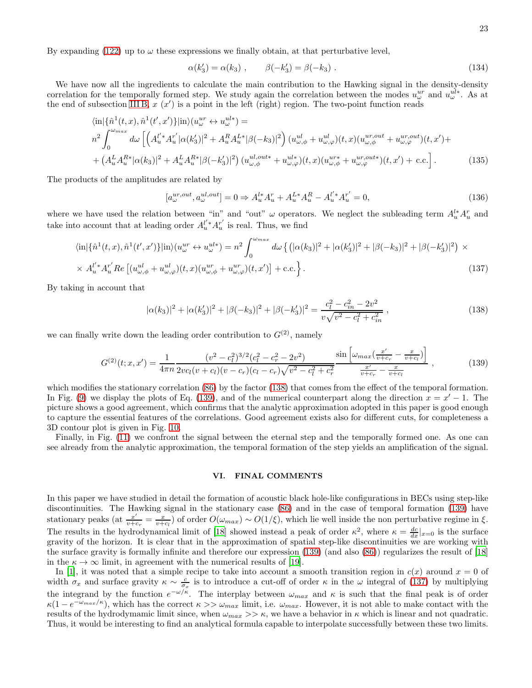By expanding [\(122\)](#page-20-2) up to  $\omega$  these expressions we finally obtain, at that perturbative level,

$$
\alpha(k_3') = \alpha(k_3) , \qquad \beta(-k_3') = \beta(-k_3) . \qquad (134)
$$

We have now all the ingredients to calculate the main contribution to the Hawking signal in the density-density correlation for the temporally formed step. We study again the correlation between the modes  $u_\omega^{ur}$  and  $u_\omega^{ul*}$ . As at the end of subsection [III B,](#page-8-0)  $x(x')$  is a point in the left (right) region. The two-point function reads

$$
\langle \text{in} | \{ \hat{n}^{1}(t,x), \hat{n}^{1}(t',x') \} | \text{in} \rangle (u_{\omega}^{ur} \leftrightarrow u_{\omega}^{ul*}) =
$$
  
\n
$$
n^{2} \int_{0}^{\omega_{max}} d\omega \left[ \left( A_{u}^{l'*} A_{u}^{r'} |\alpha(k'_{3})|^{2} + A_{u}^{R} A_{u}^{L*} |\beta(-k_{3})|^{2} \right) (u_{\omega,\phi}^{ul} + u_{\omega,\varphi}^{ul}) (t,x) (u_{\omega,\phi}^{ur,out} + u_{\omega,\varphi}^{ur,out}) (t,x') +
$$
  
\n
$$
+ \left( A_{u}^{L} A_{u}^{R*} |\alpha(k_{3})|^{2} + A_{u}^{L} A_{u}^{R*} |\beta(-k'_{3})|^{2} \right) (u_{\omega,\phi}^{ul,out} + u_{\omega,\varphi}^{ul*}) (t,x) (u_{\omega,\phi}^{ur*} + u_{\omega,\varphi}^{ur,out}) (t,x') + \text{c.c.} \right].
$$
\n(135)

The products of the amplitudes are related by

$$
[a_{\omega}^{ur,out}, a_{\omega}^{ul,out}] = 0 \Rightarrow A_u^{l*} A_u^r + A_u^{L*} A_u^R - A_u^{l*} A_u^{r'} = 0,
$$
\n(136)

where we have used the relation between "in" and "out"  $\omega$  operators. We neglect the subleading term  $A_u^{l*} A_u^r$  and take into account that at leading order  $A_u^{l'*}A_u^{r'}$  $u^r$  is real. Thus, we find

<span id="page-22-2"></span>
$$
\langle \text{in}|\{\hat{n}^{1}(t,x),\hat{n}^{1}(t',x')\}|\text{in}\rangle(u_{\omega}^{ur} \leftrightarrow u_{\omega}^{ul*}) = n^{2} \int_{0}^{\omega_{max}} d\omega \left\{ \left(|\alpha(k_{3})|^{2} + |\alpha(k'_{3})|^{2} + |\beta(-k_{3})|^{2} + |\beta(-k'_{3})|^{2}\right) \times \right. \\ \times A_{u}^{l'} A_{u}^{r'} Re\left[(u_{\omega,\phi}^{ul} + u_{\omega,\varphi}^{ul})(t,x)(u_{\omega,\phi}^{ur} + u_{\omega,\varphi}^{ur})(t,x')\right] + \text{c.c.}\right\}.
$$
\n(137)

By taking in account that

<span id="page-22-0"></span>
$$
|\alpha(k_3)|^2 + |\alpha(k_3')|^2 + |\beta(-k_3)|^2 + |\beta(-k_3')|^2 = \frac{c_l^2 - c_{in}^2 - 2v^2}{v\sqrt{v^2 - c_l^2 + c_{in}^2}}\,,\tag{138}
$$

we can finally write down the leading order contribution to  $G^{(2)}$ , namely

<span id="page-22-1"></span>
$$
G^{(2)}(t;x,x') = \frac{1}{4\pi n} \frac{(v^2 - c_l^2)^{3/2} (c_l^2 - c_r^2 - 2v^2)}{2vc_l(v+c_l)(v-c_r)(c_l-c_r)\sqrt{v^2 - c_l^2 + c_r^2}} \frac{\sin\left[\omega_{max}\left(\frac{x'}{v+c_r} - \frac{x}{v+c_l}\right)\right]}{\frac{x'}{v+c_r} - \frac{x}{v+c_l}} ,\qquad(139)
$$

which modifies the stationary correlation  $(86)$  by the factor  $(138)$  that comes from the effect of the temporal formation. In Fig. [\(9\)](#page-23-0) we display the plots of Eq. [\(139\)](#page-22-1), and of the numerical counterpart along the direction  $x = x' - 1$ . The picture shows a good agreement, which confirms that the analytic approximation adopted in this paper is good enough to capture the essential features of the correlations. Good agreement exists also for different cuts, for completeness a 3D contour plot is given in Fig. [10.](#page-23-1)

Finally, in Fig. [\(11\)](#page-24-0) we confront the signal between the eternal step and the temporally formed one. As one can see already from the analytic approximation, the temporal formation of the step yields an amplification of the signal.

#### VI. FINAL COMMENTS

In this paper we have studied in detail the formation of acoustic black hole-like configurations in BECs using step-like discontinuities. The Hawking signal in the stationary case [\(86\)](#page-15-2) and in the case of temporal formation [\(139\)](#page-22-1) have stationary peaks (at  $\frac{x'}{x}$  $\frac{x'}{v+c_r} = \frac{x}{v+c_l}$  of order  $O(\omega_{max}) \sim O(1/\xi)$ , which lie well inside the non perturbative regime in  $\xi$ . The results in the hydrodynamical limit of [\[18](#page-31-16)] showed instead a peak of order  $\kappa^2$ , where  $\kappa = \frac{dc}{dx}|_{x=0}$  is the surface gravity of the horizon. It is clear that in the approximation of spatial step-like discontinuities we are working with the surface gravity is formally infinite and therefore our expression [\(139\)](#page-22-1) (and also [\(86\)](#page-15-2)) regularizes the result of [\[18](#page-31-16)] in the  $\kappa \to \infty$  limit, in agreement with the numerical results of [\[19\]](#page-31-17).

In [\[1\]](#page-31-0), it was noted that a simple recipe to take into account a smooth transition region in  $c(x)$  around  $x = 0$  of width  $\sigma_x$  and surface gravity  $\kappa \sim \frac{c}{\sigma_x}$  is to introduce a cut-off of order  $\kappa$  in the  $\omega$  integral of [\(137\)](#page-22-2) by multiplying the integrand by the function  $e^{-\omega/\kappa}$ . The interplay between  $\omega_{max}$  and  $\kappa$  is such that the final peak is of order  $\kappa(1-e^{-\omega_{max}/\kappa})$ , which has the correct  $\kappa >> \omega_{max}$  limit, i.e.  $\omega_{max}$ . However, it is not able to make contact with the results of the hydrodymamic limit since, when  $\omega_{max} >> \kappa$ , we have a behavior in  $\kappa$  which is linear and not quadratic. Thus, it would be interesting to find an analytical formula capable to interpolate successfully between these two limits.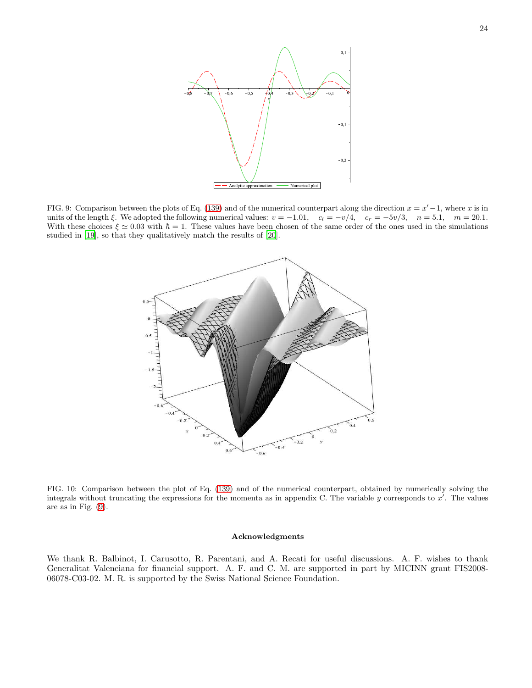

<span id="page-23-0"></span>FIG. 9: Comparison between the plots of Eq. [\(139\)](#page-22-1) and of the numerical counterpart along the direction  $x = x' - 1$ , where x is in units of the length  $\xi$ . We adopted the following numerical values:  $v = -1.01$ ,  $c_l = -v/4$ ,  $c_r = -5v/3$ ,  $n = 5.1$ ,  $m = 20.1$ . With these choices  $\xi \approx 0.03$  with  $\hbar = 1$ . These values have been chosen of the same order of the ones used in the simulations studied in [\[19\]](#page-31-17), so that they qualitatively match the results of [\[20\]](#page-31-18).



<span id="page-23-1"></span>FIG. 10: Comparison between the plot of Eq. [\(139\)](#page-22-1) and of the numerical counterpart, obtained by numerically solving the integrals without truncating the expressions for the momenta as in appendix C. The variable  $y$  corresponds to  $x'$ . The values are as in Fig. [\(9\)](#page-23-0).

#### Acknowledgments

We thank R. Balbinot, I. Carusotto, R. Parentani, and A. Recati for useful discussions. A. F. wishes to thank Generalitat Valenciana for financial support. A. F. and C. M. are supported in part by MICINN grant FIS2008- 06078-C03-02. M. R. is supported by the Swiss National Science Foundation.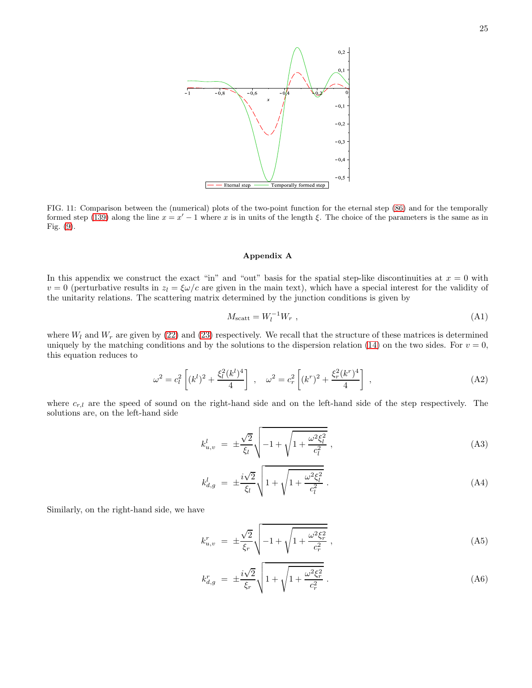

<span id="page-24-0"></span>FIG. 11: Comparison between the (numerical) plots of the two-point function for the eternal step [\(86\)](#page-15-2) and for the temporally formed step [\(139\)](#page-22-1) along the line  $x = x' - 1$  where x is in units of the length  $\xi$ . The choice of the parameters is the same as in Fig. [\(9\)](#page-23-0).

#### Appendix A

In this appendix we construct the exact "in" and "out" basis for the spatial step-like discontinuities at  $x = 0$  with  $v = 0$  (perturbative results in  $z_l = \frac{\xi \omega}{c}$  are given in the main text), which have a special interest for the validity of the unitarity relations. The scattering matrix determined by the junction conditions is given by

<span id="page-24-4"></span>
$$
M_{\text{scatt}} = W_l^{-1} W_r \tag{A1}
$$

where  $W_l$  and  $W_r$  are given by [\(22\)](#page-4-2) and [\(23\)](#page-4-1) respectively. We recall that the structure of these matrices is determined uniquely by the matching conditions and by the solutions to the dispersion relation [\(14\)](#page-2-4) on the two sides. For  $v = 0$ , this equation reduces to

<span id="page-24-1"></span>
$$
\omega^2 = c_l^2 \left[ (k^l)^2 + \frac{\xi_l^2 (k^l)^4}{4} \right] , \quad \omega^2 = c_r^2 \left[ (k^r)^2 + \frac{\xi_r^2 (k^r)^4}{4} \right] , \tag{A2}
$$

where  $c_{r,l}$  are the speed of sound on the right-hand side and on the left-hand side of the step respectively. The solutions are, on the left-hand side

<span id="page-24-2"></span>
$$
k_{u,v}^l = \pm \frac{\sqrt{2}}{\xi_l} \sqrt{-1 + \sqrt{1 + \frac{\omega^2 \xi_l^2}{c_l^2}}},
$$
\n(A3)

$$
k_{d,g}^l = \pm \frac{i\sqrt{2}}{\xi_l} \sqrt{1 + \sqrt{1 + \frac{\omega^2 \xi_l^2}{c_l^2}}} \,. \tag{A4}
$$

Similarly, on the right-hand side, we have

<span id="page-24-3"></span>
$$
k_{u,v}^r = \pm \frac{\sqrt{2}}{\xi_r} \sqrt{-1 + \sqrt{1 + \frac{\omega^2 \xi_r^2}{c_r^2}}},
$$
\n(A5)

$$
k_{d,g}^r = \pm \frac{i\sqrt{2}}{\xi_r} \sqrt{1 + \sqrt{1 + \frac{\omega^2 \xi_r^2}{c_r^2}}} \,. \tag{A6}
$$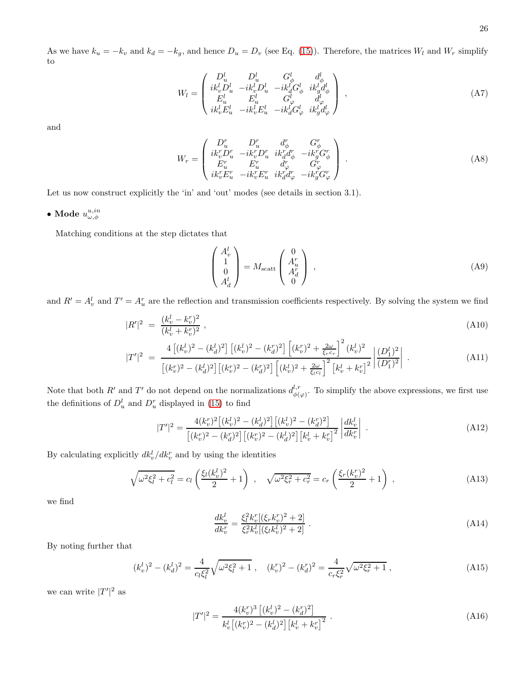As we have  $k_u = -k_v$  and  $k_d = -k_g$ , and hence  $D_u = D_v$  (see Eq. [\(15\)](#page-3-3)). Therefore, the matrices  $W_l$  and  $W_r$  simplify to

$$
W_{l} = \begin{pmatrix} D_{u}^{l} & D_{u}^{l} & G_{\phi}^{l} & d_{\phi}^{l} \\ ik_{v}^{l}D_{u}^{l} & -ik_{v}^{l}D_{u}^{l} & -ik_{d}^{l}G_{\phi}^{l} & ik_{g}^{l}d_{\phi}^{l} \\ E_{u}^{l} & E_{u}^{l} & G_{\phi}^{l} & d_{\phi}^{l} \\ ik_{v}^{l}E_{u}^{l} & -ik_{v}^{l}E_{u}^{l} & -ik_{d}^{l}G_{\phi}^{l} & ik_{g}^{l}d_{\phi}^{l} \end{pmatrix}, \tag{A7}
$$

and

$$
W_r = \begin{pmatrix} D_u^r & D_u^r & d_{\phi}^r & G_{\phi}^r \\ ik_v^r D_u^r & -ik_v^r D_u^r & ik_d^r d_{\phi}^r & -ik_g^r G_{\phi}^r \\ E_u^r & E_u^r & d_{\phi}^r & G_{\phi}^r \\ ik_v^r E_u^r & -ik_v^r E_u^r & ik_d^r d_{\phi}^r & -ik_g^r G_{\phi}^r \end{pmatrix} .
$$
 (A8)

Let us now construct explicitly the 'in' and 'out' modes (see details in section 3.1).

 $\bullet$  Mode  $u^{u,in}_{\omega,\phi}$ 

Matching conditions at the step dictates that

$$
\begin{pmatrix} A_v^l \\ 1 \\ 0 \\ A_d^l \end{pmatrix} = M_{\text{scatt}} \begin{pmatrix} 0 \\ A_u^r \\ A_d^r \\ 0 \end{pmatrix} , \tag{A9}
$$

and  $R' = A_v^l$  and  $T' = A_u^r$  are the reflection and transmission coefficients respectively. By solving the system we find

$$
|R'|^2 = \frac{(k_v^l - k_v^r)^2}{(k_v^l + k_v^r)^2},\tag{A10}
$$

$$
|T'|^2 = \frac{4\left[ (k_v^l)^2 - (k_d^l)^2 \right] \left[ (k_v^l)^2 - (k_d^r)^2 \right] \left[ (k_v^r)^2 + \frac{2\omega}{\xi_r c_r} \right]^2 (k_v^l)^2}{\left[ (k_v^r)^2 - (k_d^l)^2 \right] \left[ (k_v^r)^2 - (k_d^r)^2 \right] \left[ (k_v^l)^2 + \frac{2\omega}{\xi_l c_l} \right]^2 \left[ k_v^l + k_v^r \right]^2} \left| \frac{(D_1^l)^2}{(D_1^r)^2} \right| \,. \tag{A11}
$$

Note that both R' and T' do not depend on the normalizations  $d_{\phi}^{l,r}$  $\phi(\varphi)$ . To simplify the above expressions, we first use the definitions of  $D_u^l$  and  $D_u^r$  displayed in [\(15\)](#page-3-3) to find

$$
|T'|^2 = \frac{4(k_v^r)^2 \left[ (k_v^l)^2 - (k_d^l)^2 \right] \left[ (k_v^l)^2 - (k_d^r)^2 \right]}{\left[ (k_v^r)^2 - (k_d^r)^2 \right] \left[ (k_v^r)^2 - (k_d^l)^2 \right] \left[ k_v^l + k_v^r \right]^2} \left| \frac{dk_v^l}{dk_v^r} \right| . \tag{A12}
$$

By calculating explicitly  $dk_v^l/dk_v^r$  and by using the identities

$$
\sqrt{\omega^2 \xi_l^2 + c_l^2} = c_l \left( \frac{\xi_l (k_v^l)^2}{2} + 1 \right) , \quad \sqrt{\omega^2 \xi_r^2 + c_r^2} = c_r \left( \frac{\xi_r (k_v^r)^2}{2} + 1 \right) , \tag{A13}
$$

we find

$$
\frac{dk_v^l}{dk_v^r} = \frac{\xi_l^2 k_v^r [(\xi_r k_v^r)^2 + 2]}{\xi_r^2 k_v^l [(\xi_l k_v^l)^2 + 2]} \ . \tag{A14}
$$

By noting further that

$$
(k_v^l)^2 - (k_d^l)^2 = \frac{4}{c_l \xi_l^2} \sqrt{\omega^2 \xi_l^2 + 1} , \quad (k_v^r)^2 - (k_d^r)^2 = \frac{4}{c_r \xi_r^2} \sqrt{\omega^2 \xi_r^2 + 1} , \tag{A15}
$$

we can write  $|T'|^2$  as

$$
|T'|^2 = \frac{4(k_v^r)^3 \left[ (k_v^l)^2 - (k_d^r)^2 \right]}{k_v^l \left[ (k_v^r)^2 - (k_d^l)^2 \right] \left[ k_v^l + k_v^r \right]^2} \,. \tag{A16}
$$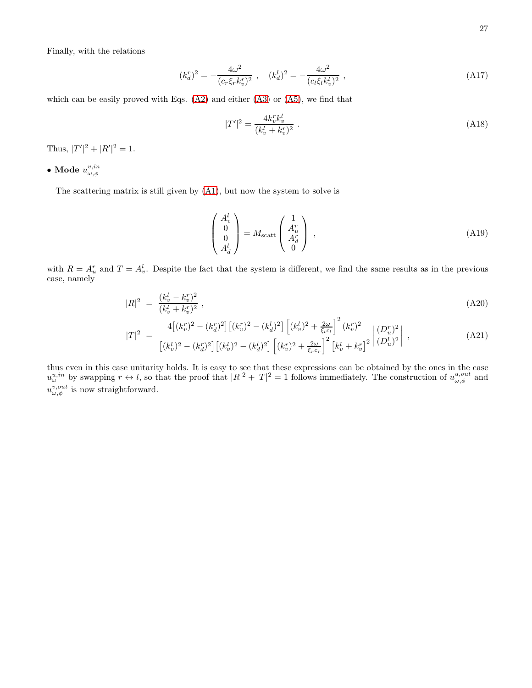Finally, with the relations

$$
(k_d^r)^2 = -\frac{4\omega^2}{(c_r \xi_r k_v^r)^2} \;, \quad (k_d^l)^2 = -\frac{4\omega^2}{(c_l \xi_l k_v^l)^2} \;, \tag{A17}
$$

which can be easily proved with Eqs. [\(A2\)](#page-24-1) and either [\(A3\)](#page-24-2) or [\(A5\)](#page-24-3), we find that

$$
|T'|^2 = \frac{4k_v^r k_v^l}{(k_v^l + k_v^r)^2} \tag{A18}
$$

Thus,  $|T'|^2 + |R'|^2 = 1$ .

 $\bullet$  Mode  $u^{v,in}_{\omega,\phi}$ 

The scattering matrix is still given by [\(A1\)](#page-24-4), but now the system to solve is

$$
\begin{pmatrix} A_v^l \\ 0 \\ 0 \\ A_d^l \end{pmatrix} = M_{\text{scatt}} \begin{pmatrix} 1 \\ A_u^r \\ A_d^r \\ 0 \end{pmatrix} , \tag{A19}
$$

with  $R = A_u^r$  and  $T = A_v^l$ . Despite the fact that the system is different, we find the same results as in the previous case, namely

$$
|R|^2 = \frac{(k_v^l - k_v^r)^2}{(k_v^l + k_v^r)^2},\tag{A20}
$$

$$
|T|^2 = \frac{4\left[ (k_v^r)^2 - (k_d^r)^2 \right] \left[ (k_v^r)^2 - (k_d^l)^2 \right] \left[ (k_v^l)^2 + \frac{2\omega}{\xi_l c_l} \right]^2 (k_v^r)^2}{\left[ (k_v^l)^2 - (k_d^r)^2 \right] \left[ (k_v^l)^2 - (k_d^l)^2 \right] \left[ (k_v^r)^2 + \frac{2\omega}{\xi_r c_r} \right]^2 \left[ k_v^l + k_v^r \right]^2} \left| \frac{(D_u^r)^2}{(D_u^l)^2} \right| , \tag{A21}
$$

thus even in this case unitarity holds. It is easy to see that these expressions can be obtained by the ones in the case  $u_{\omega}^{u,in}$  by swapping  $r \leftrightarrow l$ , so that the proof that  $|R|^2 + |T|^2 = 1$  follows immediately. The construction of  $u_{\omega,\phi}^{u,out}$  and  $u_{\omega,\phi}^{v,out}$  is now straightforward.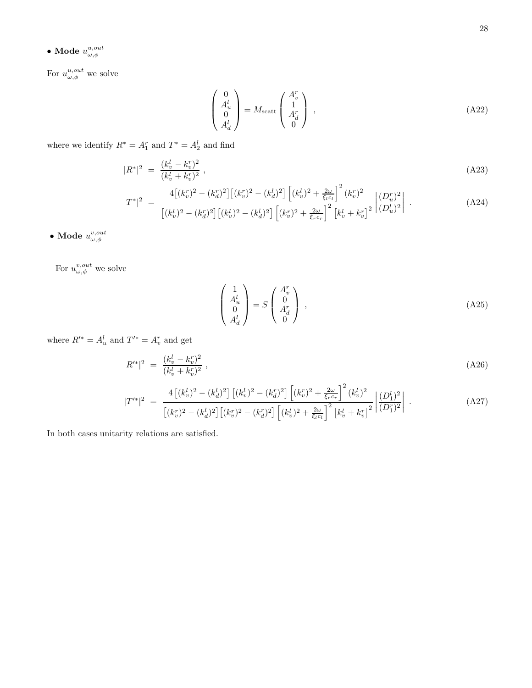$$
\bullet
$$
   
Mode  $u^{u,out}_{\omega,\phi}$ 

For  $u_{\omega,\phi}^{u,out}$  we solve

$$
\begin{pmatrix} 0 \\ A_u^l \\ 0 \\ A_d^l \end{pmatrix} = M_{\text{scatt}} \begin{pmatrix} A_v^r \\ 1 \\ A_d^r \\ 0 \end{pmatrix} , \qquad (A22)
$$

where we identify  $R^* = A_1^r$  and  $T^* = A_2^l$  and find

$$
|R^*|^2 = \frac{(k_v^l - k_v^r)^2}{(k_v^l + k_v^r)^2},\tag{A23}
$$

$$
|T^*|^2 = \frac{4\left[ (k_v^r)^2 - (k_d^r)^2 \right] \left[ (k_v^r)^2 - (k_d^l)^2 \right] \left[ (k_v^l)^2 + \frac{2\omega}{\xi_l c_l} \right]^2 (k_v^r)^2}{\left[ (k_v^l)^2 - (k_d^r)^2 \right] \left[ (k_v^l)^2 - (k_d^l)^2 \right] \left[ (k_v^r)^2 + \frac{2\omega}{\xi_r c_r} \right]^2 \left[ k_v^l + k_v^r \right]^2} \left| \frac{(D_u^r)^2}{(D_u^l)^2} \right| \,. \tag{A24}
$$

 $\bullet$  Mode  $u^{v,out}_{\omega,\phi}$ 

For  $u^{v,out}_{\omega,\phi}$  we solve

$$
\begin{pmatrix} 1 \\ A_u^l \\ 0 \\ A_d^l \end{pmatrix} = S \begin{pmatrix} A_v^r \\ 0 \\ A_d^r \\ 0 \end{pmatrix} , \qquad (A25)
$$

where  $R'^* = A_u^l$  and  $T'^* = A_v^r$  and get

$$
|R'^{*}|^2 = \frac{(k_v^l - k_v^r)^2}{(k_v^l + k_v^r)^2},\tag{A26}
$$

$$
|T'^{*}|^{2} = \frac{4\left[ (k_{v}^{l})^{2} - (k_{d}^{l})^{2} \right] \left[ (k_{v}^{l})^{2} - (k_{d}^{r})^{2} \right] \left[ (k_{v}^{r})^{2} + \frac{2\omega}{\xi_{r}c_{r}} \right]^{2} (k_{v}^{l})^{2}}{\left[ (k_{v}^{r})^{2} - (k_{d}^{l})^{2} \right] \left[ (k_{v}^{r})^{2} - (k_{d}^{r})^{2} \right] \left[ (k_{v}^{l})^{2} + \frac{2\omega}{\xi_{l}c_{l}} \right]^{2} \left[ k_{v}^{l} + k_{v}^{r} \right]^{2}} \left| \frac{(D_{1}^{l})^{2}}{(D_{1}^{r})^{2}} \right| . \tag{A27}
$$

In both cases unitarity relations are satisfied.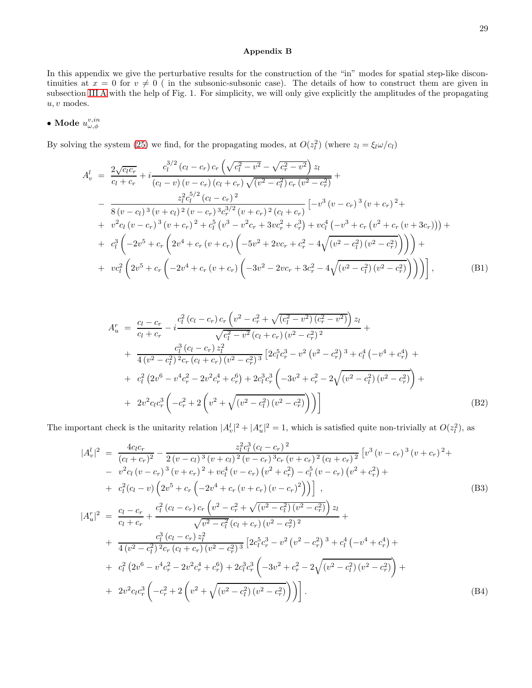#### Appendix B

In this appendix we give the perturbative results for the construction of the "in" modes for spatial step-like discontinuities at  $x = 0$  for  $v \neq 0$  ( in the subsonic-subsonic case). The details of how to construct them are given in subsection [III A](#page-2-0) with the help of Fig. 1. For simplicity, we will only give explicitly the amplitudes of the propagating  $u, v$  modes.

# $\bullet$  Mode  $u^{v,in}_{\omega,\phi}$

By solving the system [\(25\)](#page-5-1) we find, for the propagating modes, at  $O(z_l^2)$  (where  $z_l = \xi_l \omega/c_l$ )

$$
A_v^l = \frac{2\sqrt{c_l c_r}}{c_l + c_r} + i \frac{c_l^{3/2} (c_l - c_r) c_r \left(\sqrt{c_l^2 - v^2} - \sqrt{c_r^2 - v^2}\right) z_l}{(c_l - v) (v - c_r) (c_l + c_r) \sqrt{(v^2 - c_l^2) c_r (v^2 - c_r^2)}} + \frac{z_l^2 c_l^{5/2} (c_l - c_r) z}{8 (v - c_l)^3 (v + c_l)^2 (v - c_r)^3 c_r^{3/2} (v + c_r)^2 (c_l + c_r)} \left[-v^3 (v - c_r)^3 (v + c_r)^2 + v^2 c_l (v - c_r)^3 (v + c_l)^2 + c_l^5 (v^3 - v^2 c_r + 3vc_r^2 + c_r^3) + vc_l^4 (-v^3 + c_r (v^2 + c_r (v + 3c_r)))\right] + c_l^3 \left(-2v^5 + c_r \left(2v^4 + c_r (v + c_r) \left(-5v^2 + 2vc_r + c_r^2 - 4\sqrt{(v^2 - c_l^2) (v^2 - c_r^2)}\right)\right)\right) + v c_l^2 \left(2v^5 + c_r \left(-2v^4 + c_r (v + c_r) \left(-3v^2 - 2vc_r + 3c_r^2 - 4\sqrt{(v^2 - c_l^2) (v^2 - c_r^2)}\right)\right)\right)\right],
$$
\n(B1)

$$
A_u^r = \frac{c_l - c_r}{c_l + c_r} - i \frac{c_l^2 (c_l - c_r) c_r (v^2 - c_r^2 + \sqrt{(c_l^2 - v^2)(c_r^2 - v^2)}) z_l}{\sqrt{c_l^2 - v^2} (c_l + c_r) (v^2 - c_r^2)^2} + \frac{c_l^3 (c_l - c_r) z_l^2}{4 (v^2 - c_l^2) z_{cr} (c_l + c_r) (v^2 - c_r^2)^3} \left[ 2c_l^5 c_r^3 - v^2 (v^2 - c_r^2)^3 + c_l^4 (-v^4 + c_r^4) + c_l^2 (2v^6 - v^4 c_r^2 - 2v^2 c_r^4 + c_r^6) + 2c_l^3 c_r^3 \left( -3v^2 + c_r^2 - 2\sqrt{(v^2 - c_l^2)(v^2 - c_r^2)} \right) + 2v^2 c_l c_r^3 \left( -c_r^2 + 2\left( v^2 + \sqrt{(v^2 - c_l^2)(v^2 - c_r^2)} \right) \right) \right]
$$
\n(B2)

The important check is the unitarity relation  $|A_v^l|^2 + |A_u^r|^2 = 1$ , which is satisfied quite non-trivially at  $O(z_l^2)$ , as

$$
|A_v^l|^2 = \frac{4c_l c_r}{(c_l + c_r)^2} - \frac{z_l^2 c_l^3 (c_l - c_r)^2}{2(v - c_l)^3 (v + c_l)^2 (v - c_r)^3 c_r (v + c_r)^2 (c_l + c_r)^2} [v^3 (v - c_r)^3 (v + c_r)^2 +- v^2 c_l (v - c_r)^3 (v + c_r)^2 + v c_l^4 (v - c_r) (v^2 + c_r^2) - c_l^5 (v - c_r) (v^2 + c_r^2) ++ c_l^2 (c_l - v) (2v^5 + c_r (-2v^4 + c_r (v + c_r) (v - c_r)^2))] , \qquad (B3)
$$
  
\n
$$
|A_u^r|^2 = \frac{c_l - c_r}{c_l + c_r} + \frac{c_l^2 (c_l - c_r) c_r (v^2 - c_r^2 + \sqrt{(v^2 - c_l^2) (v^2 - c_r^2)}) z_l}{\sqrt{v^2 - c_l^2} (c_l + c_r) (v^2 - c_r^2)^2} ++ \frac{c_l^3 (c_l - c_r) z_l^2}{4 (v^2 - c_l^2)^2 c_r (c_l + c_r) (v^2 - c_r^2)^3} [2c_l^5 c_r^3 - v^2 (v^2 - c_r^2)^3 + c_l^4 (-v^4 + c_r^4) ++ c_l^2 (2v^6 - v^4 c_r^2 - 2v^2 c_r^4 + c_r^6) + 2c_l^3 c_r^3 (-3v^2 + c_r^2 - 2\sqrt{(v^2 - c_l^2) (v^2 - c_r^2)}) ++ 2v^2 c_l c_r^3 (-c_r^2 + 2 (v^2 + \sqrt{(v^2 - c_l^2) (v^2 - c_r^2)}))]. \qquad (B4)
$$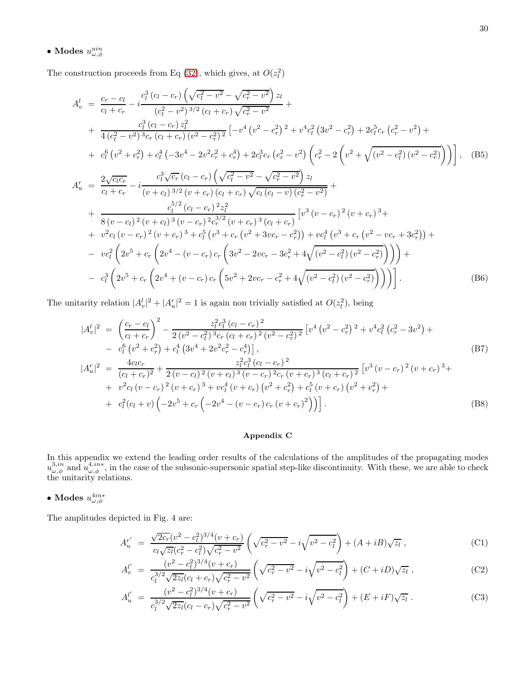## $\bullet$  Modes  $u^{uin}_{\omega,\phi}$

The construction proceeds from Eq [\(32\)](#page-6-0), which gives, at  $O(z_l^2)$ 

$$
A_v^l = \frac{c_r - c_l}{c_l + c_r} - i \frac{c_l^3 (c_l - c_r) \left(\sqrt{c_l^2 - v^2} - \sqrt{c_r^2 - v^2}\right) z_l}{(c_l^2 - v^2)^{3/2} (c_l + c_r) \sqrt{c_r^2 - v^2}} +
$$
  
+ 
$$
\frac{c_l^3 (c_l - c_r) z_l^2}{4(c_l^2 - v^2)^{3/2} (c_l + c_r) (v^2 - c_r^2)^2} \left[ -v^4 (v^2 - c_r^2)^2 + v^4 c_l^2 (3v^2 - c_r^2) + 2c_l^5 c_r (c_r^2 - v^2) + c_l^6 (v^2 + c_r^2) + c_l^4 (-3v^4 - 2v^2 c_r^2 + c_r^4) + 2c_l^3 c_r (c_r^2 - v^2) \left(c_r^2 - 2 \left(v^2 + \sqrt{(v^2 - c_l^2)(v^2 - c_r^2)}\right)\right)\right], \quad (B5)
$$
  

$$
A_u^r = \frac{2\sqrt{c_l c_r}}{c_l + c_r} - i \frac{c_l^3 \sqrt{c_r} (c_l - c_r) \left(\sqrt{c_l^2 - v^2} - \sqrt{c_r^2 - v^2}\right) z_l}{(v + c_l)^{3/2} (v + c_r) (c_l + c_r) \sqrt{c_l (c_l - v) (c_r^2 - v^2)}} +
$$
  
+ 
$$
\frac{c_l^{5/2} (c_l - c_r)^{2} z_l^2}{8(v - c_l)^2 (v + c_l)^{3} (v - c_r)^{2} c_l^{3/2} (v + c_r)^{3} (c_l + c_r)} \left[v^3 (v - c_r)^2 (v + c_r)^3 +
$$
  
+ 
$$
v^2 c_l (v - c_r)^2 (v + c_r)^3 + c_l^5 (v^3 + c_r (v^2 + 3v c_r - c_r^2)) + v c_l^4 (v^3 + c_r (v^2 - v c_r + 3c_r^2)) +
$$
  
- 
$$
v c_l^2 \left(2v^5 + c_r \left(2v^4 - (v - c_r)c_r \left(3v^2 - 2v c_r - 3c_r^2 + 4\sqrt{(v^2 - c_l^2)(v^2 - c_r^2)}\right)\right)\right) +
$$
  
-

The unitarity relation  $|A_v^l|^2 + |A_u^r|^2 = 1$  is again non trivially satisfied at  $O(z_l^2)$ , being

$$
|A_v^l|^2 = \left(\frac{c_r - c_l}{c_l + c_r}\right)^2 - \frac{z_l^2 c_l^3 (c_l - c_r)^2}{2 (v^2 - c_l^2)^3 c_r (c_l + c_r)^2 (v^2 - c_r^2)^2} \left[v^4 (v^2 - c_r^2)^2 + v^4 c_l^2 (c_r^2 - 3v^2) + \right. \\ - c_l^6 (v^2 + c_r^2) + c_l^4 (3v^4 + 2v^2 c_r^2 - c_r^4)\right],
$$
\n
$$
|A_u^r|^2 = \frac{4c_l c_r}{(c_l + c_r)^2} + \frac{z_l^2 c_l^3 (c_l - c_r)^2}{2 (v - c_l)^2 (v + c_l)^3 (v - c_r)^2 c_r (v + c_r)^3 (c_l + c_r)^2} \left[v^3 (v - c_r)^2 (v + c_r)^3 + \right. \\ + v^2 c_l (v - c_r)^2 (v + c_r)^3 + v c_l^4 (v + c_r) (v^2 + c_r^2) + c_l^5 (v + c_r) (v^2 + c_r^2) + \left. c_l^2 (c_l + v) \left(-2v^5 + c_r \left(-2v^4 - (v - c_r)c_r (v + c_r)^2\right)\right)\right].
$$
\n(B8)

#### Appendix C

In this appendix we extend the leading order results of the calculations of the amplitudes of the propagating modes  $u^{3,in}_{\omega,\phi}$  and  $u^{4,in*}_{\omega,\phi}$ , in the case of the subsonic-supersonic spatial step-like discontinuity. With these, we are able to check the unitarity relations.

## $\bullet$  Modes  $u^{4in*}_{\omega,\phi}$

The amplitudes depicted in Fig. 4 are:

$$
A_u^{r'} = \frac{\sqrt{2c_r}(v^2 - c_l^2)^{3/4}(v + c_r)}{c_l\sqrt{z_l}(c_r^2 - c_l^2)\sqrt{c_r^2 - v^2}} \left(\sqrt{c_r^2 - v^2} - i\sqrt{v^2 - c_l^2}\right) + (A + iB)\sqrt{z_l} ,\qquad (C1)
$$

$$
A_v^{l'} = \frac{(v^2 - c_l^2)^{3/4}(v + c_r)}{c_l^{3/2}\sqrt{2z_l}(c_l + c_r)\sqrt{c_r^2 - v^2}} \left(\sqrt{c_r^2 - v^2} - i\sqrt{v^2 - c_l^2}\right) + (C + iD)\sqrt{z_l} ,\qquad (C2)
$$

$$
A_u^{l'} = \frac{(v^2 - c_l^2)^{3/4}(v + c_r)}{c_l^{3/2}\sqrt{2z_l}(c_l - c_r)\sqrt{c_r^2 - v^2}} \left(\sqrt{c_r^2 - v^2} - i\sqrt{v^2 - c_l^2}\right) + (E + iF)\sqrt{z_l} \tag{C3}
$$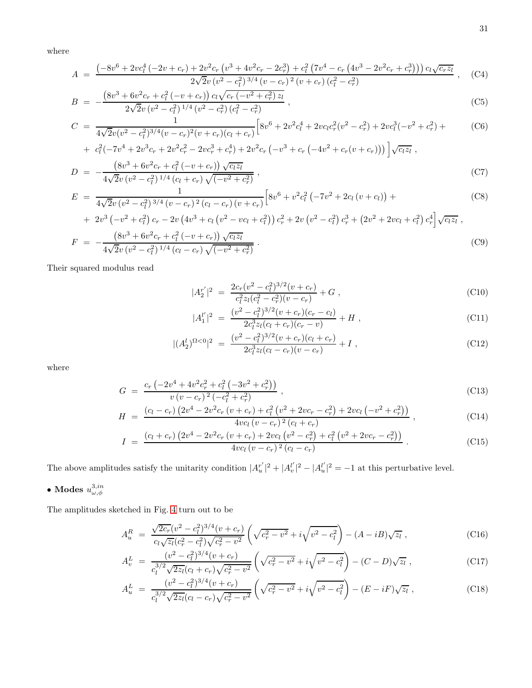where

$$
A = \frac{\left(-8v^6 + 2vc_l^4\left(-2v + c_r\right) + 2v^2c_r\left(v^3 + 4v^2c_r - 2c_r^3\right) + c_l^2\left(7v^4 - c_r\left(4v^3 - 2v^2c_r + c_r^3\right)\right)\right)c_l\sqrt{c_rz_l}}{2\sqrt{2}v\left(v^2 - c_l^2\right)^{3/4}\left(v - c_r\right)^2\left(v + c_r\right)\left(c_l^2 - c_r^2\right)}\,,\tag{C4}
$$

$$
B = -\frac{\left(8v^3 + 6v^2c_r + c_l^2\left(-v + c_r\right)\right)c_l\sqrt{c_r\left(-v^2 + c_r^2\right)z_l}}{2\sqrt{2}v\left(v^2 - c_l^2\right)^{1/4}\left(v^2 - c_r^2\right)\left(c_l^2 - c_r^2\right)}\,,\tag{C5}
$$

$$
C = \frac{1}{4\sqrt{2}v(v^2 - c_l^2)^{3/4}(v - c_r)^2(v + c_r)(c_l + c_r)} \Big[ 8v^6 + 2v^2c_l^4 + 2vc_lc_r^2(v^2 - c_r^2) + 2vc_l^3(-v^2 + c_r^2) + \frac{c_l^2(-7v^4 + 2v^3c_r + 2v^2c_r^2 - 2vc_r^3 + c_r^4) + 2v^2c_r(-v^3 + c_r(-4v^2 + c_r(v + c_r))) \Big] \sqrt{c_lz_l} ,
$$
\n(C6)

+ 
$$
c_l^2(-7v^4 + 2v^3c_r + 2v^2c_r^2 - 2vc_r^3 + c_r^4) + 2v^2c_r(-v^3 + c_r(-4v^2 + c_r(v + c_r)))\bigg]\sqrt{c_1z_l}
$$
,  
\n
$$
D = -\frac{(8v^3 + 6v^2c_r + c_l^2(-v + c_r))\sqrt{c_lz_l}}{4\sqrt{2}v(v^2 - c_l^2)^{1/4}(c_l + c_r)\sqrt{(-v^2 + c_r^2)}},
$$
\n(C7)

$$
E = \frac{1}{4\sqrt{2}v(v^2 - c_l^2)^{3/4}(v - c_r)^2(c_l - c_r)(v + c_r)} \Big[ 8v^6 + v^2c_l^2(-7v^2 + 2c_l(v + c_l)) + \Big]
$$
(C8)

+ 
$$
2v^3(-v^2 + c_l^2)c_r - 2v(4v^3 + c_l(v^2 - vc_l + c_l^2))c_r^2 + 2v(v^2 - c_l^2)c_r^3 + (2v^2 + 2vc_l + c_l^2)c_r^4\big)\sqrt{c_lz_l}
$$
,  
\n $(8v^3 + 6v^2c_r + c_l^2(-v + c_r))\sqrt{c_lz_l}$ 

$$
F = -\frac{\left(8v^3 + 6v^2c_r + c_l^2\left(-v + c_r\right)\right)\sqrt{c_l z_l}}{4\sqrt{2}v\left(v^2 - c_l^2\right)^{1/4}\left(c_l - c_r\right)\sqrt{\left(-v^2 + c_r^2\right)}}\,. \tag{C9}
$$

Their squared modulus read

$$
|A_2^{r'}|^2 = \frac{2c_r(v^2 - c_l^2)^{3/2}(v + c_r)}{c_l^2 z_l(c_l^2 - c_r^2)(v - c_r)} + G,
$$
\n(C10)

$$
|A_1^{l'}|^2 = \frac{(v^2 - c_l^2)^{3/2}(v + c_r)(c_r - c_l)}{2c_l^3 z_l(c_l + c_r)(c_r - v)} + H,
$$
\n(C11)

$$
|(A_2^l)^{\Omega<0}|^2 = \frac{(v^2 - c_l^2)^{3/2}(v + c_r)(c_l + c_r)}{2c_l^3 z_l(c_l - c_r)(v - c_r)} + I,
$$
\n(C12)

where

$$
G = \frac{c_r \left(-2v^4 + 4v^2c_r^2 + c_l^2 \left(-3v^2 + c_r^2\right)\right)}{v \left(v - c_r\right)^2 \left(-c_l^2 + c_r^2\right)}\,,\tag{C13}
$$

$$
H = \frac{(c_l - c_r) (2v^4 - 2v^2 c_r (v + c_r) + c_l^2 (v^2 + 2vc_r - c_r^2) + 2vc_l (-v^2 + c_r^2))}{4vc_l (v - c_r)^2 (c_l + c_r)},
$$
\n(C14)

$$
I = \frac{(c_l + c_r) (2v^4 - 2v^2 c_r (v + c_r) + 2vc_l (v^2 - c_r^2) + c_l^2 (v^2 + 2vc_r - c_r^2))}{4vc_l (v - c_r)^2 (c_l - c_r)}.
$$
(C15)

The above amplitudes satisfy the unitarity condition  $|A_u^{r^\prime}|$  $|_{u}^{r'}|^{2}+|A_{v}^{l'}|$  $|u'_v|^2 - |A_u^{l'}|$  $|u''_u|^2 = -1$  at this perturbative level.

# $\bullet$  Modes  $u^{3,in}_{\omega,\phi}$

The amplitudes sketched in Fig. [4](#page-10-0) turn out to be

$$
A_u^R = \frac{\sqrt{2c_r}(v^2 - c_l^2)^{3/4}(v + c_r)}{c_l\sqrt{z_l}(c_r^2 - c_l^2)\sqrt{c_r^2 - v^2}} \left(\sqrt{c_r^2 - v^2} + i\sqrt{v^2 - c_l^2}\right) - (A - iB)\sqrt{z_l} \tag{C16}
$$

$$
A_v^L = \frac{(v^2 - c_l^2)^{3/4}(v + c_r)}{c_l^{3/2}\sqrt{2z_l}(c_l + c_r)\sqrt{c_r^2 - v^2}} \left(\sqrt{c_r^2 - v^2} + i\sqrt{v^2 - c_l^2}\right) - (C - D)\sqrt{z_l} ,\qquad (C17)
$$

$$
A_u^L = \frac{(v^2 - c_l^2)^{3/4}(v + c_r)}{c_l^{3/2}\sqrt{2z_l}(c_l - c_r)\sqrt{c_r^2 - v^2}} \left(\sqrt{c_r^2 - v^2} + i\sqrt{v^2 - c_l^2}\right) - (E - iF)\sqrt{z_l} \,,\tag{C18}
$$